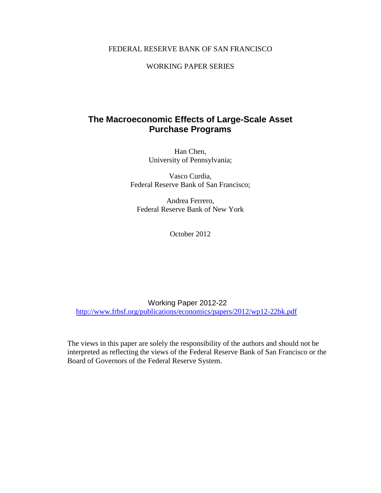# FEDERAL RESERVE BANK OF SAN FRANCISCO

# WORKING PAPER SERIES

# **The Macroeconomic Effects of Large-Scale Asset Purchase Programs**

Han Chen, University of Pennsylvania;

Vasco Curdia, Federal Reserve Bank of San Francisco;

Andrea Ferrero, Federal Reserve Bank of New York

October 2012

Working Paper 2012-22 <http://www.frbsf.org/publications/economics/papers/2012/wp12-22bk.pdf>

The views in this paper are solely the responsibility of the authors and should not be interpreted as reflecting the views of the Federal Reserve Bank of San Francisco or the Board of Governors of the Federal Reserve System.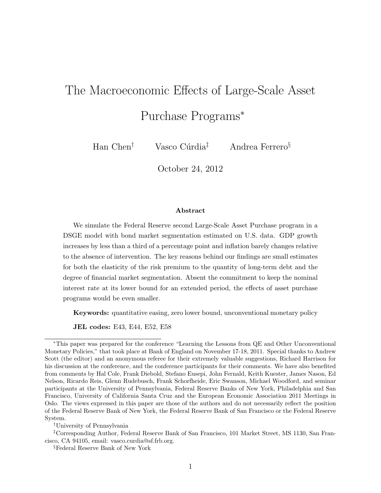# The Macroeconomic Effects of Large-Scale Asset Purchase Programs<sup>∗</sup>

Han Chen<sup>†</sup> Vasco Cúrdia<sup>‡</sup> Andrea Ferrero<sup>§</sup>

October 24, 2012

#### Abstract

We simulate the Federal Reserve second Large-Scale Asset Purchase program in a DSGE model with bond market segmentation estimated on U.S. data. GDP growth increases by less than a third of a percentage point and inflation barely changes relative to the absence of intervention. The key reasons behind our findings are small estimates for both the elasticity of the risk premium to the quantity of long-term debt and the degree of financial market segmentation. Absent the commitment to keep the nominal interest rate at its lower bound for an extended period, the effects of asset purchase programs would be even smaller.

Keywords: quantitative easing, zero lower bound, unconventional monetary policy

JEL codes: E43, E44, E52, E58

†University of Pennsylvania

‡Corresponding Author, Federal Reserve Bank of San Francisco, 101 Market Street, MS 1130, San Francisco, CA 94105, email: vasco.curdia@sf.frb.org.

<sup>∗</sup>This paper was prepared for the conference "Learning the Lessons from QE and Other Unconventional Monetary Policies," that took place at Bank of England on November 17-18, 2011. Special thanks to Andrew Scott (the editor) and an anonymous referee for their extremely valuable suggestions, Richard Harrison for his discussion at the conference, and the conference participants for their comments. We have also benefited from comments by Hal Cole, Frank Diebold, Stefano Eusepi, John Fernald, Keith Kuester, James Nason, Ed Nelson, Ricardo Reis, Glenn Rudebusch, Frank Schorfheide, Eric Swanson, Michael Woodford, and seminar participants at the University of Pennsylvania, Federal Reserve Banks of New York, Philadelphia and San Francisco, University of California Santa Cruz and the European Economic Association 2011 Meetings in Oslo. The views expressed in this paper are those of the authors and do not necessarily reflect the position of the Federal Reserve Bank of New York, the Federal Reserve Bank of San Francisco or the Federal Reserve System.

<sup>§</sup>Federal Reserve Bank of New York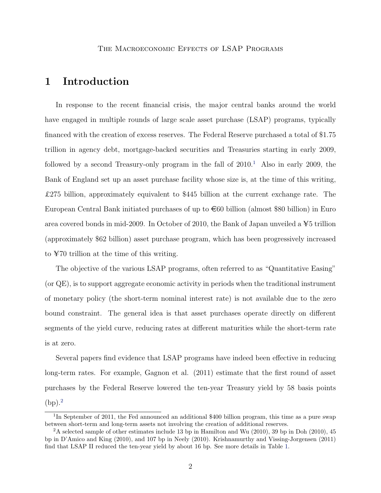# 1 Introduction

In response to the recent financial crisis, the major central banks around the world have engaged in multiple rounds of large scale asset purchase (LSAP) programs, typically financed with the creation of excess reserves. The Federal Reserve purchased a total of \$1.75 trillion in agency debt, mortgage-backed securities and Treasuries starting in early 2009, followed by a second Treasury-only program in the fall of  $2010<sup>1</sup>$  $2010<sup>1</sup>$  $2010<sup>1</sup>$  Also in early 2009, the Bank of England set up an asset purchase facility whose size is, at the time of this writing, £275 billion, approximately equivalent to \$445 billion at the current exchange rate. The European Central Bank initiated purchases of up to  $\epsilon$ 60 billion (almost \$80 billion) in Euro area covered bonds in mid-2009. In October of 2010, the Bank of Japan unveiled a  $\yen$ 5 trillion (approximately \$62 billion) asset purchase program, which has been progressively increased to  $\yen$ 70 trillion at the time of this writing.

The objective of the various LSAP programs, often referred to as "Quantitative Easing" (or QE), is to support aggregate economic activity in periods when the traditional instrument of monetary policy (the short-term nominal interest rate) is not available due to the zero bound constraint. The general idea is that asset purchases operate directly on different segments of the yield curve, reducing rates at different maturities while the short-term rate is at zero.

Several papers find evidence that LSAP programs have indeed been effective in reducing long-term rates. For example, Gagnon et al. (2011) estimate that the first round of asset purchases by the Federal Reserve lowered the ten-year Treasury yield by 58 basis points  $(bp).<sup>2</sup>$  $(bp).<sup>2</sup>$  $(bp).<sup>2</sup>$ 

<span id="page-2-0"></span><sup>&</sup>lt;sup>1</sup>In September of 2011, the Fed announced an additional \$400 billion program, this time as a pure swap between short-term and long-term assets not involving the creation of additional reserves.

<span id="page-2-1"></span><sup>&</sup>lt;sup>2</sup>A selected sample of other estimates include 13 bp in Hamilton and Wu (2010), 39 bp in Doh (2010), 45 bp in D'Amico and King (2010), and 107 bp in Neely (2010). Krishnamurthy and Vissing-Jorgensen (2011) find that LSAP II reduced the ten-year yield by about 16 bp. See more details in Table [1.](#page-38-0)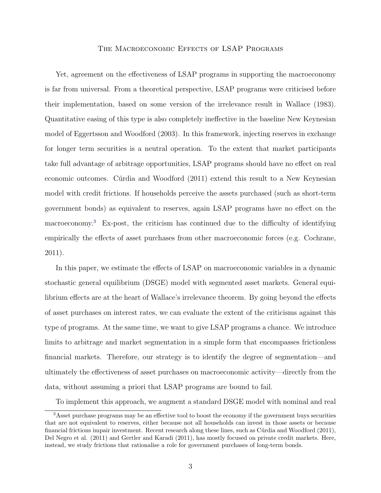Yet, agreement on the effectiveness of LSAP programs in supporting the macroeconomy is far from universal. From a theoretical perspective, LSAP programs were criticised before their implementation, based on some version of the irrelevance result in Wallace (1983). Quantitative easing of this type is also completely ineffective in the baseline New Keynesian model of Eggertsson and Woodford (2003). In this framework, injecting reserves in exchange for longer term securities is a neutral operation. To the extent that market participants take full advantage of arbitrage opportunities, LSAP programs should have no effect on real economic outcomes. Cúrdia and Woodford (2011) extend this result to a New Keynesian model with credit frictions. If households perceive the assets purchased (such as short-term government bonds) as equivalent to reserves, again LSAP programs have no effect on the macroeconomy.[3](#page-3-0) Ex-post, the criticism has continued due to the difficulty of identifying empirically the effects of asset purchases from other macroeconomic forces (e.g. Cochrane, 2011).

In this paper, we estimate the effects of LSAP on macroeconomic variables in a dynamic stochastic general equilibrium (DSGE) model with segmented asset markets. General equilibrium effects are at the heart of Wallace's irrelevance theorem. By going beyond the effects of asset purchases on interest rates, we can evaluate the extent of the criticisms against this type of programs. At the same time, we want to give LSAP programs a chance. We introduce limits to arbitrage and market segmentation in a simple form that encompasses frictionless financial markets. Therefore, our strategy is to identify the degree of segmentation—and ultimately the effectiveness of asset purchases on macroeconomic activity—directly from the data, without assuming a priori that LSAP programs are bound to fail.

<span id="page-3-0"></span>To implement this approach, we augment a standard DSGE model with nominal and real

<sup>&</sup>lt;sup>3</sup>Asset purchase programs may be an effective tool to boost the economy if the government buys securities that are not equivalent to reserves, either because not all households can invest in those assets or because financial frictions impair investment. Recent research along these lines, such as Cúrdia and Woodford (2011), Del Negro et al. (2011) and Gertler and Karadi (2011), has mostly focused on private credit markets. Here, instead, we study frictions that rationalise a role for government purchases of long-term bonds.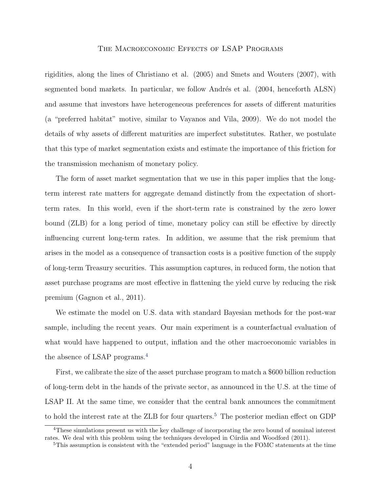rigidities, along the lines of Christiano et al. (2005) and Smets and Wouters (2007), with segmented bond markets. In particular, we follow Andrés et al. (2004, henceforth ALSN) and assume that investors have heterogeneous preferences for assets of different maturities (a "preferred habitat" motive, similar to Vayanos and Vila, 2009). We do not model the details of why assets of different maturities are imperfect substitutes. Rather, we postulate that this type of market segmentation exists and estimate the importance of this friction for the transmission mechanism of monetary policy.

The form of asset market segmentation that we use in this paper implies that the longterm interest rate matters for aggregate demand distinctly from the expectation of shortterm rates. In this world, even if the short-term rate is constrained by the zero lower bound (ZLB) for a long period of time, monetary policy can still be effective by directly influencing current long-term rates. In addition, we assume that the risk premium that arises in the model as a consequence of transaction costs is a positive function of the supply of long-term Treasury securities. This assumption captures, in reduced form, the notion that asset purchase programs are most effective in flattening the yield curve by reducing the risk premium (Gagnon et al., 2011).

We estimate the model on U.S. data with standard Bayesian methods for the post-war sample, including the recent years. Our main experiment is a counterfactual evaluation of what would have happened to output, inflation and the other macroeconomic variables in the absence of LSAP programs.[4](#page-4-0)

First, we calibrate the size of the asset purchase program to match a \$600 billion reduction of long-term debt in the hands of the private sector, as announced in the U.S. at the time of LSAP II. At the same time, we consider that the central bank announces the commitment to hold the interest rate at the ZLB for four quarters.<sup>[5](#page-4-1)</sup> The posterior median effect on GDP

<span id="page-4-0"></span><sup>4</sup>These simulations present us with the key challenge of incorporating the zero bound of nominal interest rates. We deal with this problem using the techniques developed in Cúrdia and Woodford (2011).

<span id="page-4-1"></span><sup>5</sup>This assumption is consistent with the "extended period" language in the FOMC statements at the time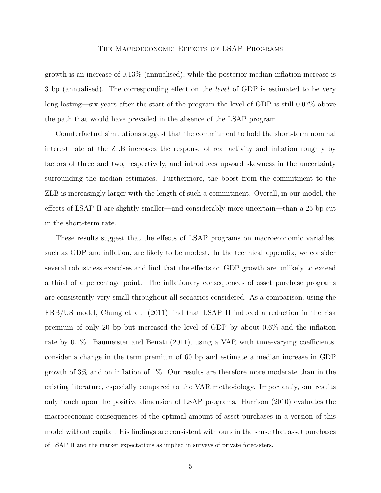growth is an increase of 0.13% (annualised), while the posterior median inflation increase is 3 bp (annualised). The corresponding effect on the *level* of GDP is estimated to be very long lasting—six years after the start of the program the level of GDP is still 0.07% above the path that would have prevailed in the absence of the LSAP program.

Counterfactual simulations suggest that the commitment to hold the short-term nominal interest rate at the ZLB increases the response of real activity and inflation roughly by factors of three and two, respectively, and introduces upward skewness in the uncertainty surrounding the median estimates. Furthermore, the boost from the commitment to the ZLB is increasingly larger with the length of such a commitment. Overall, in our model, the effects of LSAP II are slightly smaller—and considerably more uncertain—than a 25 bp cut in the short-term rate.

These results suggest that the effects of LSAP programs on macroeconomic variables, such as GDP and inflation, are likely to be modest. In the technical appendix, we consider several robustness exercises and find that the effects on GDP growth are unlikely to exceed a third of a percentage point. The inflationary consequences of asset purchase programs are consistently very small throughout all scenarios considered. As a comparison, using the FRB/US model, Chung et al. (2011) find that LSAP II induced a reduction in the risk premium of only 20 bp but increased the level of GDP by about 0.6% and the inflation rate by 0.1%. Baumeister and Benati (2011), using a VAR with time-varying coefficients, consider a change in the term premium of 60 bp and estimate a median increase in GDP growth of 3% and on inflation of 1%. Our results are therefore more moderate than in the existing literature, especially compared to the VAR methodology. Importantly, our results only touch upon the positive dimension of LSAP programs. Harrison (2010) evaluates the macroeconomic consequences of the optimal amount of asset purchases in a version of this model without capital. His findings are consistent with ours in the sense that asset purchases

of LSAP II and the market expectations as implied in surveys of private forecasters.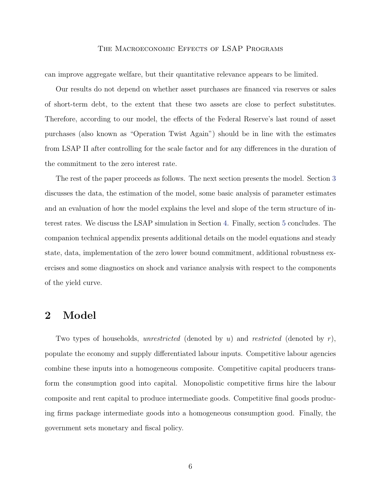can improve aggregate welfare, but their quantitative relevance appears to be limited.

Our results do not depend on whether asset purchases are financed via reserves or sales of short-term debt, to the extent that these two assets are close to perfect substitutes. Therefore, according to our model, the effects of the Federal Reserve's last round of asset purchases (also known as "Operation Twist Again") should be in line with the estimates from LSAP II after controlling for the scale factor and for any differences in the duration of the commitment to the zero interest rate.

The rest of the paper proceeds as follows. The next section presents the model. Section [3](#page-18-0) discusses the data, the estimation of the model, some basic analysis of parameter estimates and an evaluation of how the model explains the level and slope of the term structure of interest rates. We discuss the LSAP simulation in Section [4.](#page-25-0) Finally, section [5](#page-33-0) concludes. The companion technical appendix presents additional details on the model equations and steady state, data, implementation of the zero lower bound commitment, additional robustness exercises and some diagnostics on shock and variance analysis with respect to the components of the yield curve.

# 2 Model

Two types of households, *unrestricted* (denoted by  $u$ ) and *restricted* (denoted by  $r$ ), populate the economy and supply differentiated labour inputs. Competitive labour agencies combine these inputs into a homogeneous composite. Competitive capital producers transform the consumption good into capital. Monopolistic competitive firms hire the labour composite and rent capital to produce intermediate goods. Competitive final goods producing firms package intermediate goods into a homogeneous consumption good. Finally, the government sets monetary and fiscal policy.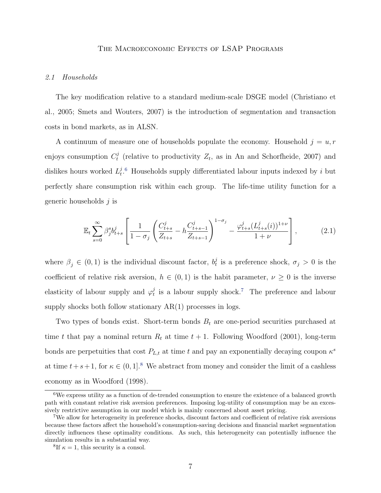#### 2.1 Households

The key modification relative to a standard medium-scale DSGE model (Christiano et al., 2005; Smets and Wouters, 2007) is the introduction of segmentation and transaction costs in bond markets, as in ALSN.

A continuum of measure one of households populate the economy. Household  $j = u, r$ enjoys consumption  $C_t^j$ <sup>*t*</sup></sup> (relative to productivity  $Z_t$ , as in An and Schorfheide, 2007) and dislikes hours worked  $L_t^j$  $t^{j.6}$  $t^{j.6}$  $t^{j.6}$  Households supply differentiated labour inputs indexed by i but perfectly share consumption risk within each group. The life-time utility function for a generic households  $j$  is

<span id="page-7-3"></span>
$$
\mathbb{E}_t \sum_{s=0}^{\infty} \beta_j^s b_{t+s}^j \left[ \frac{1}{1-\sigma_j} \left( \frac{C_{t+s}^j}{Z_{t+s}} - h \frac{C_{t+s-1}^j}{Z_{t+s-1}} \right)^{1-\sigma_j} - \frac{\varphi_{t+s}^j (L_{t+s}^j(i))^{1+\nu}}{1+\nu} \right],
$$
 (2.1)

where  $\beta_j \in (0,1)$  is the individual discount factor,  $b_t^j$ <sup>j</sup> is a preference shock,  $\sigma_j > 0$  is the coefficient of relative risk aversion,  $h \in (0,1)$  is the habit parameter,  $\nu \geq 0$  is the inverse elasticity of labour supply and  $\varphi_t^j$  $t_i$  is a labour supply shock.<sup>[7](#page-7-1)</sup> The preference and labour supply shocks both follow stationary  $AR(1)$  processes in logs.

Two types of bonds exist. Short-term bonds  $B_t$  are one-period securities purchased at time t that pay a nominal return  $R_t$  at time  $t + 1$ . Following Woodford (2001), long-term bonds are perpetuities that cost  $P_{L,t}$  at time t and pay an exponentially decaying coupon  $\kappa^s$ at time  $t+s+1$ , for  $\kappa \in (0,1]^8$  $\kappa \in (0,1]^8$ . We abstract from money and consider the limit of a cashless economy as in Woodford (1998).

<span id="page-7-0"></span><sup>6</sup>We express utility as a function of de-trended consumption to ensure the existence of a balanced growth path with constant relative risk aversion preferences. Imposing log-utility of consumption may be an excessively restrictive assumption in our model which is mainly concerned about asset pricing.

<span id="page-7-1"></span><sup>7</sup>We allow for heterogeneity in preference shocks, discount factors and coefficient of relative risk aversions because these factors affect the household's consumption-saving decisions and financial market segmentation directly influences these optimality conditions. As such, this heterogeneity can potentially influence the simulation results in a substantial way.

<span id="page-7-2"></span><sup>&</sup>lt;sup>8</sup>If  $\kappa = 1$ , this security is a consol.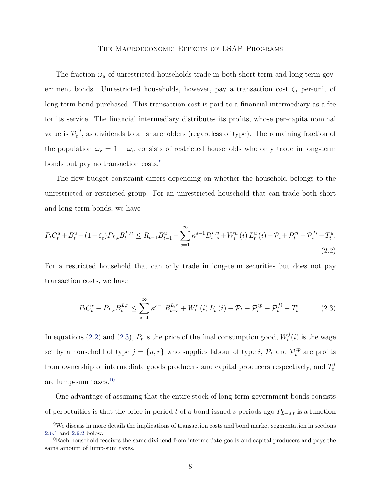The fraction  $\omega_u$  of unrestricted households trade in both short-term and long-term government bonds. Unrestricted households, however, pay a transaction cost  $\zeta_t$  per-unit of long-term bond purchased. This transaction cost is paid to a financial intermediary as a fee for its service. The financial intermediary distributes its profits, whose per-capita nominal value is  $\mathcal{P}_t^{fi}$  $t^{t}$ , as dividends to all shareholders (regardless of type). The remaining fraction of the population  $\omega_r = 1 - \omega_u$  consists of restricted households who only trade in long-term bonds but pay no transaction costs.<sup>[9](#page-8-0)</sup>

The flow budget constraint differs depending on whether the household belongs to the unrestricted or restricted group. For an unrestricted household that can trade both short and long-term bonds, we have

<span id="page-8-1"></span>
$$
P_{t}C_{t}^{u} + B_{t}^{u} + (1 + \zeta_{t})P_{L,t}B_{t}^{L,u} \leq R_{t-1}B_{t-1}^{u} + \sum_{s=1}^{\infty} \kappa^{s-1} B_{t-s}^{L,u} + W_{t}^{u}(i) L_{t}^{u}(i) + \mathcal{P}_{t} + \mathcal{P}_{t}^{cp} + \mathcal{P}_{t}^{fi} - T_{t}^{u}.
$$
\n
$$
(2.2)
$$

For a restricted household that can only trade in long-term securities but does not pay transaction costs, we have

<span id="page-8-2"></span>
$$
P_{t}C_{t}^{r} + P_{L,t}B_{t}^{L,r} \leq \sum_{s=1}^{\infty} \kappa^{s-1} B_{t-s}^{L,r} + W_{t}^{r}(i) L_{t}^{r}(i) + \mathcal{P}_{t} + \mathcal{P}_{t}^{cp} + \mathcal{P}_{t}^{fi} - T_{t}^{r}.
$$
 (2.3)

In equations [\(2.2\)](#page-8-1) and [\(2.3\)](#page-8-2),  $P_t$  is the price of the final consumption good,  $W_t^j$  $t^{j}(i)$  is the wage set by a household of type  $j = \{u, r\}$  who supplies labour of type i,  $\mathcal{P}_t$  and  $\mathcal{P}_t^{cp}$  are profits from ownership of intermediate goods producers and capital producers respectively, and  $T_t^j$ t are lump-sum taxes.[10](#page-8-3)

One advantage of assuming that the entire stock of long-term government bonds consists of perpetuities is that the price in period t of a bond issued s periods ago  $P_{L-s,t}$  is a function

<span id="page-8-0"></span><sup>&</sup>lt;sup>9</sup>We discuss in more details the implications of transaction costs and bond market segmentation in sections [2.6.1](#page-15-0) and [2.6.2](#page-17-0) below.

<span id="page-8-3"></span><sup>&</sup>lt;sup>10</sup>Each household receives the same dividend from intermediate goods and capital producers and pays the same amount of lump-sum taxes.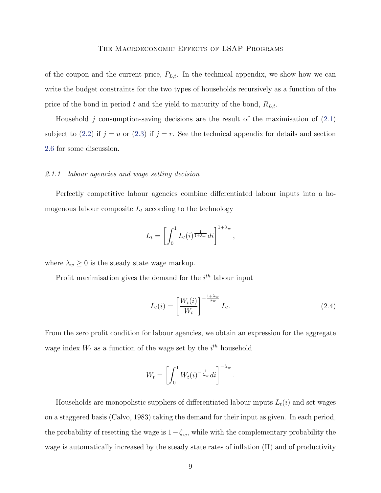of the coupon and the current price,  $P_{L,t}$ . In the technical appendix, we show how we can write the budget constraints for the two types of households recursively as a function of the price of the bond in period t and the yield to maturity of the bond,  $R_{L,t}$ .

Household j consumption-saving decisions are the result of the maximisation of  $(2.1)$ subject to [\(2.2\)](#page-8-1) if  $j = u$  or [\(2.3\)](#page-8-2) if  $j = r$ . See the technical appendix for details and section [2.6](#page-14-0) for some discussion.

#### 2.1.1 labour agencies and wage setting decision

Perfectly competitive labour agencies combine differentiated labour inputs into a homogenous labour composite  $L_t$  according to the technology

$$
L_t = \left[ \int_0^1 L_t(i)^{\frac{1}{1+\lambda_w}} di \right]^{1+\lambda_w},
$$

where  $\lambda_w \geq 0$  is the steady state wage markup.

Profit maximisation gives the demand for the  $i<sup>th</sup>$  labour input

<span id="page-9-0"></span>
$$
L_t(i) = \left[\frac{W_t(i)}{W_t}\right]^{-\frac{1+\lambda_w}{\lambda_w}} L_t.
$$
\n(2.4)

From the zero profit condition for labour agencies, we obtain an expression for the aggregate wage index  $W_t$  as a function of the wage set by the  $i^{th}$  household

$$
W_t = \left[ \int_0^1 W_t(i)^{-\frac{1}{\lambda_w}} di \right]^{-\lambda_w}.
$$

Households are monopolistic suppliers of differentiated labour inputs  $L_t(i)$  and set wages on a staggered basis (Calvo, 1983) taking the demand for their input as given. In each period, the probability of resetting the wage is  $1-\zeta_w$ , while with the complementary probability the wage is automatically increased by the steady state rates of inflation  $(\Pi)$  and of productivity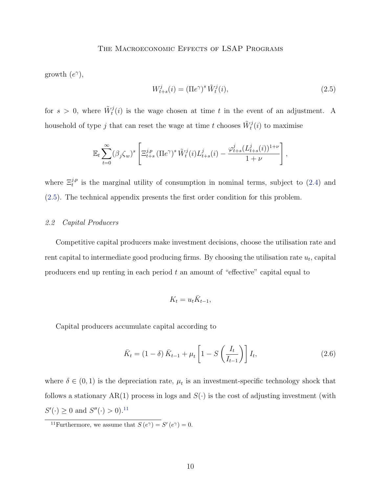growth  $(e^{\gamma})$ ,

<span id="page-10-0"></span>
$$
W_{t+s}^j(i) = \left(\Pi e^{\gamma}\right)^s \tilde{W}_t^j(i),\tag{2.5}
$$

for  $s > 0$ , where  $\tilde{W}_t^j(i)$  is the wage chosen at time t in the event of an adjustment. A household of type  $j$  that can reset the wage at time  $t$  chooses  $\tilde{W}_{t}^{j}(i)$  to maximise

$$
\mathbb{E}_t \sum_{t=0}^{\infty} (\beta_j \zeta_w)^s \left[ \Xi_{t+s}^{j,p} \left( \Pi e^{\gamma} \right)^s \tilde{W}_t^j(i) L_{t+s}^j(i) - \frac{\varphi_{t+s}^j (L_{t+s}^j(i))^{1+\nu}}{1+\nu} \right],
$$

where  $\Xi_t^{j,p}$  is the marginal utility of consumption in nominal terms, subject to [\(2.4\)](#page-9-0) and [\(2.5\)](#page-10-0). The technical appendix presents the first order condition for this problem.

# 2.2 Capital Producers

Competitive capital producers make investment decisions, choose the utilisation rate and rent capital to intermediate good producing firms. By choosing the utilisation rate  $u_t$ , capital producers end up renting in each period  $t$  an amount of "effective" capital equal to

$$
K_t = u_t \bar{K}_{t-1},
$$

Capital producers accumulate capital according to

<span id="page-10-2"></span>
$$
\bar{K}_t = (1 - \delta) \bar{K}_{t-1} + \mu_t \left[ 1 - S \left( \frac{I_t}{I_{t-1}} \right) \right] I_t,
$$
\n(2.6)

where  $\delta \in (0,1)$  is the depreciation rate,  $\mu_t$  is an investment-specific technology shock that follows a stationary AR(1) process in logs and  $S(\cdot)$  is the cost of adjusting investment (with  $S'(\cdot) \geq 0$  and  $S''(\cdot) > 0$ .<sup>[11](#page-10-1)</sup>

<span id="page-10-1"></span><sup>&</sup>lt;sup>11</sup>Furthermore, we assume that  $S(e^{\gamma}) = S'(e^{\gamma}) = 0$ .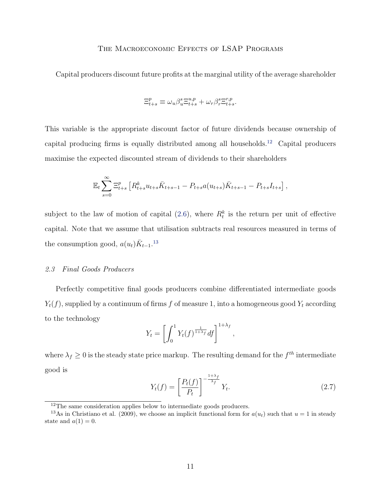Capital producers discount future profits at the marginal utility of the average shareholder

$$
\Xi^p_{t+s}\equiv \omega_u\beta_u^s\Xi^{u,p}_{t+s}+\omega_r\beta_r^s\Xi^{r,p}_{t+s}.
$$

This variable is the appropriate discount factor of future dividends because ownership of capital producing firms is equally distributed among all households.[12](#page-11-0) Capital producers maximise the expected discounted stream of dividends to their shareholders

$$
\mathbb{E}_t \sum_{s=0}^{\infty} \Xi_{t+s}^p \left[ R_{t+s}^k u_{t+s} \bar{K}_{t+s-1} - P_{t+s} a(u_{t+s}) \bar{K}_{t+s-1} - P_{t+s} I_{t+s} \right],
$$

subject to the law of motion of capital  $(2.6)$ , where  $R_t^k$  is the return per unit of effective capital. Note that we assume that utilisation subtracts real resources measured in terms of the consumption good,  $a(u_t)\bar{K}_{t-1}$ .<sup>[13](#page-11-1)</sup>

#### 2.3 Final Goods Producers

Perfectly competitive final goods producers combine differentiated intermediate goods  $Y_t(f)$ , supplied by a continuum of firms f of measure 1, into a homogeneous good  $Y_t$  according to the technology

$$
Y_t = \left[ \int_0^1 Y_t(f)^{\frac{1}{1+\lambda_f}} df \right]^{1+\lambda_f},
$$

where  $\lambda_f \geq 0$  is the steady state price markup. The resulting demand for the  $f^{th}$  intermediate good is

<span id="page-11-2"></span>
$$
Y_t(f) = \left[\frac{P_t(f)}{P_t}\right]^{-\frac{1+\lambda_f}{\lambda_f}} Y_t.
$$
\n(2.7)

<span id="page-11-1"></span><span id="page-11-0"></span><sup>&</sup>lt;sup>12</sup>The same consideration applies below to intermediate goods producers.

<sup>&</sup>lt;sup>13</sup>As in Christiano et al. (2009), we choose an implicit functional form for  $a(u_t)$  such that  $u = 1$  in steady state and  $a(1) = 0$ .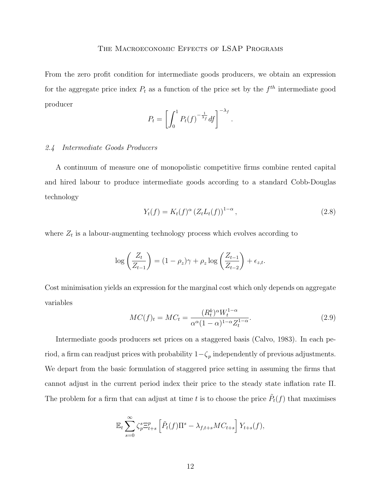From the zero profit condition for intermediate goods producers, we obtain an expression for the aggregate price index  $P_t$  as a function of the price set by the  $f^{th}$  intermediate good producer

$$
P_t = \left[ \int_0^1 P_t(f)^{-\frac{1}{\lambda_f}} df \right]^{-\lambda_f}
$$

## 2.4 Intermediate Goods Producers

A continuum of measure one of monopolistic competitive firms combine rented capital and hired labour to produce intermediate goods according to a standard Cobb-Douglas technology

$$
Y_t(f) = K_t(f)^{\alpha} (Z_t L_t(f))^{1-\alpha}, \qquad (2.8)
$$

.

where  $Z_t$  is a labour-augmenting technology process which evolves according to

$$
\log\left(\frac{Z_t}{Z_{t-1}}\right) = (1 - \rho_z)\gamma + \rho_z \log\left(\frac{Z_{t-1}}{Z_{t-2}}\right) + \epsilon_{z,t}.
$$

Cost minimisation yields an expression for the marginal cost which only depends on aggregate variables

$$
MC(f)_t = MC_t = \frac{(R_t^k)^\alpha W_t^{1-\alpha}}{\alpha^\alpha (1-\alpha)^{1-\alpha} Z_t^{1-\alpha}}.
$$
\n(2.9)

Intermediate goods producers set prices on a staggered basis (Calvo, 1983). In each period, a firm can readjust prices with probability  $1-\zeta_p$  independently of previous adjustments. We depart from the basic formulation of staggered price setting in assuming the firms that cannot adjust in the current period index their price to the steady state inflation rate Π. The problem for a firm that can adjust at time t is to choose the price  $\tilde{P}_t(f)$  that maximises

$$
\mathbb{E}_t \sum_{s=0}^{\infty} \zeta_p^s \mathbb{E}_{t+s}^p \left[ \tilde{P}_t(f) \Pi^s - \lambda_{f,t+s} MC_{t+s} \right] Y_{t+s}(f),
$$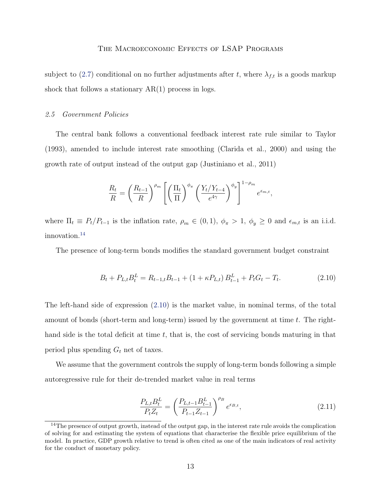subject to [\(2.7\)](#page-11-2) conditional on no further adjustments after t, where  $\lambda_{f,t}$  is a goods markup shock that follows a stationary  $AR(1)$  process in logs.

## 2.5 Government Policies

The central bank follows a conventional feedback interest rate rule similar to Taylor (1993), amended to include interest rate smoothing (Clarida et al., 2000) and using the growth rate of output instead of the output gap (Justiniano et al., 2011)

$$
\frac{R_t}{R} = \left(\frac{R_{t-1}}{R}\right)^{\rho_m} \left[ \left(\frac{\Pi_t}{\Pi}\right)^{\phi_{\pi}} \left(\frac{Y_t/Y_{t-4}}{e^{4\gamma}}\right)^{\phi_y} \right]^{1-\rho_m} e^{\epsilon_{m,t}},
$$

where  $\Pi_t \equiv P_t/P_{t-1}$  is the inflation rate,  $\rho_m \in (0,1)$ ,  $\phi_{\pi} > 1$ ,  $\phi_y \ge 0$  and  $\epsilon_{m,t}$  is an i.i.d. innovation.[14](#page-13-0)

The presence of long-term bonds modifies the standard government budget constraint

<span id="page-13-1"></span>
$$
B_t + P_{L,t} B_t^L = R_{t-1,t} B_{t-1} + (1 + \kappa P_{L,t}) B_{t-1}^L + P_t G_t - T_t.
$$
\n(2.10)

The left-hand side of expression [\(2.10\)](#page-13-1) is the market value, in nominal terms, of the total amount of bonds (short-term and long-term) issued by the government at time  $t$ . The righthand side is the total deficit at time  $t$ , that is, the cost of servicing bonds maturing in that period plus spending  $G_t$  net of taxes.

We assume that the government controls the supply of long-term bonds following a simple autoregressive rule for their de-trended market value in real terms

$$
\frac{P_{L,t}B_t^L}{P_t Z_t} = \left(\frac{P_{L,t-1}B_{t-1}^L}{P_{t-1}Z_{t-1}}\right)^{\rho_B} e^{\epsilon_{B,t}},\tag{2.11}
$$

<span id="page-13-0"></span><sup>&</sup>lt;sup>14</sup>The presence of output growth, instead of the output gap, in the interest rate rule avoids the complication of solving for and estimating the system of equations that characterise the flexible price equilibrium of the model. In practice, GDP growth relative to trend is often cited as one of the main indicators of real activity for the conduct of monetary policy.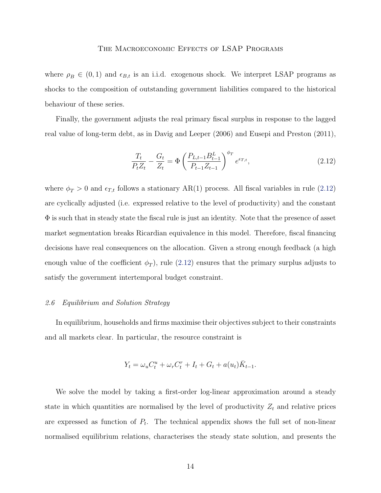where  $\rho_B \in (0,1)$  and  $\epsilon_{B,t}$  is an i.i.d. exogenous shock. We interpret LSAP programs as shocks to the composition of outstanding government liabilities compared to the historical behaviour of these series.

Finally, the government adjusts the real primary fiscal surplus in response to the lagged real value of long-term debt, as in Davig and Leeper (2006) and Eusepi and Preston (2011),

<span id="page-14-1"></span>
$$
\frac{T_t}{P_t Z_t} - \frac{G_t}{Z_t} = \Phi \left( \frac{P_{L,t-1} B_{t-1}^L}{P_{t-1} Z_{t-1}} \right)^{\phi_T} e^{\epsilon_{T,t}},\tag{2.12}
$$

where  $\phi_T > 0$  and  $\epsilon_{T,t}$  follows a stationary AR(1) process. All fiscal variables in rule [\(2.12\)](#page-14-1) are cyclically adjusted (i.e. expressed relative to the level of productivity) and the constant Φ is such that in steady state the fiscal rule is just an identity. Note that the presence of asset market segmentation breaks Ricardian equivalence in this model. Therefore, fiscal financing decisions have real consequences on the allocation. Given a strong enough feedback (a high enough value of the coefficient  $\phi_T$ , rule [\(2.12\)](#page-14-1) ensures that the primary surplus adjusts to satisfy the government intertemporal budget constraint.

#### <span id="page-14-0"></span>2.6 Equilibrium and Solution Strategy

In equilibrium, households and firms maximise their objectives subject to their constraints and all markets clear. In particular, the resource constraint is

$$
Y_t = \omega_u C_t^u + \omega_r C_t^r + I_t + G_t + a(u_t) \overline{K}_{t-1}.
$$

We solve the model by taking a first-order log-linear approximation around a steady state in which quantities are normalised by the level of productivity  $Z_t$  and relative prices are expressed as function of  $P_t$ . The technical appendix shows the full set of non-linear normalised equilibrium relations, characterises the steady state solution, and presents the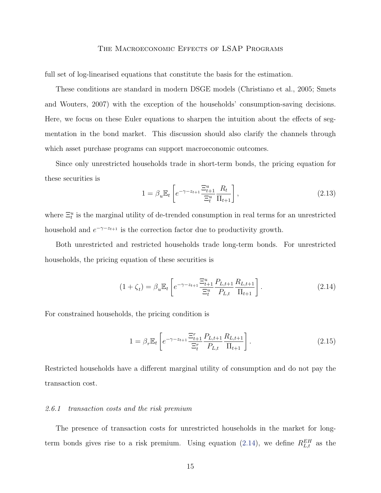full set of log-linearised equations that constitute the basis for the estimation.

These conditions are standard in modern DSGE models (Christiano et al., 2005; Smets and Wouters, 2007) with the exception of the households' consumption-saving decisions. Here, we focus on these Euler equations to sharpen the intuition about the effects of segmentation in the bond market. This discussion should also clarify the channels through which asset purchase programs can support macroeconomic outcomes.

Since only unrestricted households trade in short-term bonds, the pricing equation for these securities is

<span id="page-15-2"></span>
$$
1 = \beta_u \mathbb{E}_t \left[ e^{-\gamma - z_{t+1}} \frac{\Xi_{t+1}^u}{\Xi_t^u} \frac{R_t}{\Pi_{t+1}} \right],
$$
\n(2.13)

where  $\Xi_t^u$  is the marginal utility of de-trended consumption in real terms for an unrestricted household and  $e^{-\gamma - z_{t+1}}$  is the correction factor due to productivity growth.

Both unrestricted and restricted households trade long-term bonds. For unrestricted households, the pricing equation of these securities is

<span id="page-15-1"></span>
$$
(1 + \zeta_t) = \beta_u \mathbb{E}_t \left[ e^{-\gamma - z_{t+1}} \frac{\Xi_{t+1}^u}{\Xi_t^u} \frac{P_{L,t+1}}{P_{L,t}} \frac{R_{L,t+1}}{\Pi_{t+1}} \right].
$$
 (2.14)

For constrained households, the pricing condition is

<span id="page-15-3"></span>
$$
1 = \beta_r \mathbb{E}_t \left[ e^{-\gamma - z_{t+1}} \frac{\Xi_{t+1}^r}{\Xi_t^r} \frac{P_{L,t+1}}{P_{L,t}} \frac{R_{L,t+1}}{\Pi_{t+1}} \right]. \tag{2.15}
$$

Restricted households have a different marginal utility of consumption and do not pay the transaction cost.

#### <span id="page-15-0"></span>2.6.1 transaction costs and the risk premium

The presence of transaction costs for unrestricted households in the market for long-term bonds gives rise to a risk premium. Using equation [\(2.14\)](#page-15-1), we define  $R_{L,t}^{EH}$  as the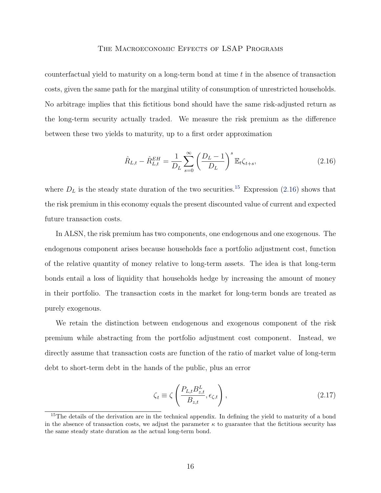counterfactual yield to maturity on a long-term bond at time  $t$  in the absence of transaction costs, given the same path for the marginal utility of consumption of unrestricted households. No arbitrage implies that this fictitious bond should have the same risk-adjusted return as the long-term security actually traded. We measure the risk premium as the difference between these two yields to maturity, up to a first order approximation

<span id="page-16-1"></span>
$$
\hat{R}_{L,t} - \hat{R}_{L,t}^{EH} = \frac{1}{D_L} \sum_{s=0}^{\infty} \left( \frac{D_L - 1}{D_L} \right)^s \mathbb{E}_t \zeta_{t+s},
$$
\n(2.16)

where  $D_L$  is the steady state duration of the two securities.<sup>[15](#page-16-0)</sup> Expression [\(2.16\)](#page-16-1) shows that the risk premium in this economy equals the present discounted value of current and expected future transaction costs.

In ALSN, the risk premium has two components, one endogenous and one exogenous. The endogenous component arises because households face a portfolio adjustment cost, function of the relative quantity of money relative to long-term assets. The idea is that long-term bonds entail a loss of liquidity that households hedge by increasing the amount of money in their portfolio. The transaction costs in the market for long-term bonds are treated as purely exogenous.

We retain the distinction between endogenous and exogenous component of the risk premium while abstracting from the portfolio adjustment cost component. Instead, we directly assume that transaction costs are function of the ratio of market value of long-term debt to short-term debt in the hands of the public, plus an error

<span id="page-16-2"></span>
$$
\zeta_t \equiv \zeta \left( \frac{P_{L,t} B_{z,t}^L}{B_{z,t}}, \epsilon_{\zeta,t} \right), \qquad (2.17)
$$

<span id="page-16-0"></span><sup>&</sup>lt;sup>15</sup>The details of the derivation are in the technical appendix. In defining the yield to maturity of a bond in the absence of transaction costs, we adjust the parameter  $\kappa$  to guarantee that the fictitious security has the same steady state duration as the actual long-term bond.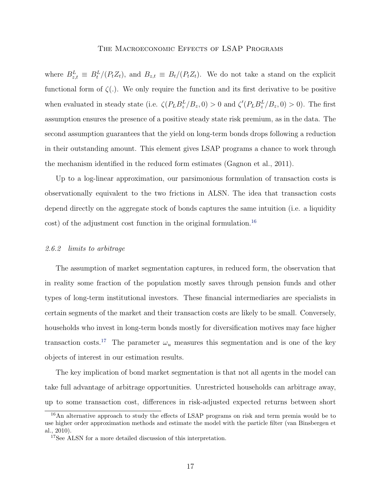where  $B_{z,t}^L \equiv B_t^L/(P_t Z_t)$ , and  $B_{z,t} \equiv B_t/(P_t Z_t)$ . We do not take a stand on the explicit functional form of  $\zeta(.)$ . We only require the function and its first derivative to be positive when evaluated in steady state (i.e.  $\zeta(P_L B_z^L/B_z, 0) > 0$  and  $\zeta'(P_L B_z^L/B_z, 0) > 0$ ). The first assumption ensures the presence of a positive steady state risk premium, as in the data. The second assumption guarantees that the yield on long-term bonds drops following a reduction in their outstanding amount. This element gives LSAP programs a chance to work through the mechanism identified in the reduced form estimates (Gagnon et al., 2011).

Up to a log-linear approximation, our parsimonious formulation of transaction costs is observationally equivalent to the two frictions in ALSN. The idea that transaction costs depend directly on the aggregate stock of bonds captures the same intuition (i.e. a liquidity cost) of the adjustment cost function in the original formulation.[16](#page-17-1)

#### <span id="page-17-0"></span>2.6.2 limits to arbitrage

The assumption of market segmentation captures, in reduced form, the observation that in reality some fraction of the population mostly saves through pension funds and other types of long-term institutional investors. These financial intermediaries are specialists in certain segments of the market and their transaction costs are likely to be small. Conversely, households who invest in long-term bonds mostly for diversification motives may face higher transaction costs.<sup>[17](#page-17-2)</sup> The parameter  $\omega_u$  measures this segmentation and is one of the key objects of interest in our estimation results.

The key implication of bond market segmentation is that not all agents in the model can take full advantage of arbitrage opportunities. Unrestricted households can arbitrage away, up to some transaction cost, differences in risk-adjusted expected returns between short

<span id="page-17-1"></span><sup>&</sup>lt;sup>16</sup>An alternative approach to study the effects of LSAP programs on risk and term premia would be to use higher order approximation methods and estimate the model with the particle filter (van Binsbergen et al., 2010).

<span id="page-17-2"></span><sup>&</sup>lt;sup>17</sup>See ALSN for a more detailed discussion of this interpretation.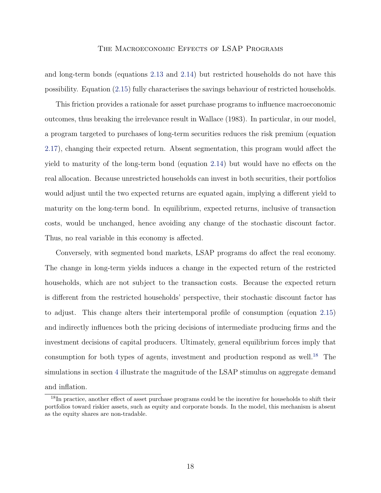and long-term bonds (equations [2.13](#page-15-2) and [2.14\)](#page-15-1) but restricted households do not have this possibility. Equation [\(2.15\)](#page-15-3) fully characterises the savings behaviour of restricted households.

This friction provides a rationale for asset purchase programs to influence macroeconomic outcomes, thus breaking the irrelevance result in Wallace (1983). In particular, in our model, a program targeted to purchases of long-term securities reduces the risk premium (equation [2.17\)](#page-16-2), changing their expected return. Absent segmentation, this program would affect the yield to maturity of the long-term bond (equation [2.14\)](#page-15-1) but would have no effects on the real allocation. Because unrestricted households can invest in both securities, their portfolios would adjust until the two expected returns are equated again, implying a different yield to maturity on the long-term bond. In equilibrium, expected returns, inclusive of transaction costs, would be unchanged, hence avoiding any change of the stochastic discount factor. Thus, no real variable in this economy is affected.

Conversely, with segmented bond markets, LSAP programs do affect the real economy. The change in long-term yields induces a change in the expected return of the restricted households, which are not subject to the transaction costs. Because the expected return is different from the restricted households' perspective, their stochastic discount factor has to adjust. This change alters their intertemporal profile of consumption (equation [2.15\)](#page-15-3) and indirectly influences both the pricing decisions of intermediate producing firms and the investment decisions of capital producers. Ultimately, general equilibrium forces imply that consumption for both types of agents, investment and production respond as well.<sup>[18](#page-18-1)</sup> The simulations in section [4](#page-25-0) illustrate the magnitude of the LSAP stimulus on aggregate demand and inflation.

<span id="page-18-1"></span><span id="page-18-0"></span><sup>&</sup>lt;sup>18</sup>In practice, another effect of asset purchase programs could be the incentive for households to shift their portfolios toward riskier assets, such as equity and corporate bonds. In the model, this mechanism is absent as the equity shares are non-tradable.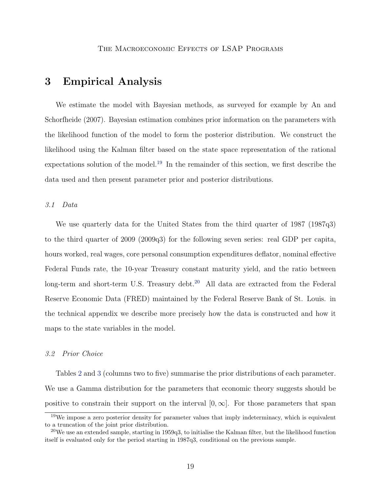# 3 Empirical Analysis

We estimate the model with Bayesian methods, as surveyed for example by An and Schorfheide (2007). Bayesian estimation combines prior information on the parameters with the likelihood function of the model to form the posterior distribution. We construct the likelihood using the Kalman filter based on the state space representation of the rational expectations solution of the model.[19](#page-19-0) In the remainder of this section, we first describe the data used and then present parameter prior and posterior distributions.

#### 3.1 Data

We use quarterly data for the United States from the third quarter of 1987 (1987q3) to the third quarter of 2009 (2009q3) for the following seven series: real GDP per capita, hours worked, real wages, core personal consumption expenditures deflator, nominal effective Federal Funds rate, the 10-year Treasury constant maturity yield, and the ratio between long-term and short-term U.S. Treasury debt.<sup>[20](#page-19-1)</sup> All data are extracted from the Federal Reserve Economic Data (FRED) maintained by the Federal Reserve Bank of St. Louis. in the technical appendix we describe more precisely how the data is constructed and how it maps to the state variables in the model.

# 3.2 Prior Choice

Tables [2](#page-39-0) and [3](#page-40-0) (columns two to five) summarise the prior distributions of each parameter. We use a Gamma distribution for the parameters that economic theory suggests should be positive to constrain their support on the interval  $[0, \infty]$ . For those parameters that span

<span id="page-19-0"></span><sup>&</sup>lt;sup>19</sup>We impose a zero posterior density for parameter values that imply indeterminacy, which is equivalent to a truncation of the joint prior distribution.

<span id="page-19-1"></span><sup>&</sup>lt;sup>20</sup>We use an extended sample, starting in 1959q3, to initialise the Kalman filter, but the likelihood function itself is evaluated only for the period starting in 1987q3, conditional on the previous sample.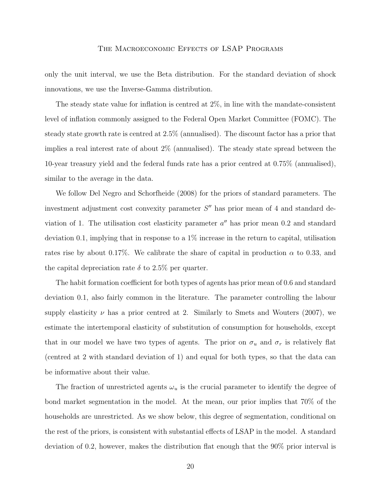only the unit interval, we use the Beta distribution. For the standard deviation of shock innovations, we use the Inverse-Gamma distribution.

The steady state value for inflation is centred at 2%, in line with the mandate-consistent level of inflation commonly assigned to the Federal Open Market Committee (FOMC). The steady state growth rate is centred at 2.5% (annualised). The discount factor has a prior that implies a real interest rate of about 2% (annualised). The steady state spread between the 10-year treasury yield and the federal funds rate has a prior centred at 0.75% (annualised), similar to the average in the data.

We follow Del Negro and Schorfheide (2008) for the priors of standard parameters. The investment adjustment cost convexity parameter  $S''$  has prior mean of 4 and standard deviation of 1. The utilisation cost elasticity parameter  $a''$  has prior mean 0.2 and standard deviation 0.1, implying that in response to a  $1\%$  increase in the return to capital, utilisation rates rise by about 0.17%. We calibrate the share of capital in production  $\alpha$  to 0.33, and the capital depreciation rate  $\delta$  to 2.5% per quarter.

The habit formation coefficient for both types of agents has prior mean of 0.6 and standard deviation 0.1, also fairly common in the literature. The parameter controlling the labour supply elasticity  $\nu$  has a prior centred at 2. Similarly to Smets and Wouters (2007), we estimate the intertemporal elasticity of substitution of consumption for households, except that in our model we have two types of agents. The prior on  $\sigma_u$  and  $\sigma_r$  is relatively flat (centred at 2 with standard deviation of 1) and equal for both types, so that the data can be informative about their value.

The fraction of unrestricted agents  $\omega_u$  is the crucial parameter to identify the degree of bond market segmentation in the model. At the mean, our prior implies that 70% of the households are unrestricted. As we show below, this degree of segmentation, conditional on the rest of the priors, is consistent with substantial effects of LSAP in the model. A standard deviation of 0.2, however, makes the distribution flat enough that the 90% prior interval is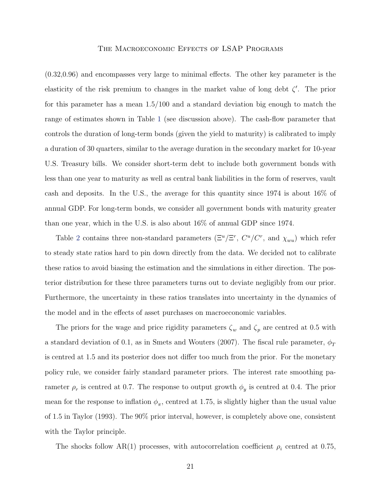(0.32,0.96) and encompasses very large to minimal effects. The other key parameter is the elasticity of the risk premium to changes in the market value of long debt  $\zeta'$ . The prior for this parameter has a mean 1.5/100 and a standard deviation big enough to match the range of estimates shown in Table [1](#page-38-0) (see discussion above). The cash-flow parameter that controls the duration of long-term bonds (given the yield to maturity) is calibrated to imply a duration of 30 quarters, similar to the average duration in the secondary market for 10-year U.S. Treasury bills. We consider short-term debt to include both government bonds with less than one year to maturity as well as central bank liabilities in the form of reserves, vault cash and deposits. In the U.S., the average for this quantity since 1974 is about 16% of annual GDP. For long-term bonds, we consider all government bonds with maturity greater than one year, which in the U.S. is also about 16% of annual GDP since 1974.

Table [2](#page-39-0) contains three non-standard parameters  $(\Xi^u/\Xi^r, C^u/C^r,$  and  $\chi_{wu})$  which refer to steady state ratios hard to pin down directly from the data. We decided not to calibrate these ratios to avoid biasing the estimation and the simulations in either direction. The posterior distribution for these three parameters turns out to deviate negligibly from our prior. Furthermore, the uncertainty in these ratios translates into uncertainty in the dynamics of the model and in the effects of asset purchases on macroeconomic variables.

The priors for the wage and price rigidity parameters  $\zeta_w$  and  $\zeta_p$  are centred at 0.5 with a standard deviation of 0.1, as in Smets and Wouters (2007). The fiscal rule parameter,  $\phi_T$ is centred at 1.5 and its posterior does not differ too much from the prior. For the monetary policy rule, we consider fairly standard parameter priors. The interest rate smoothing parameter  $\rho_r$  is centred at 0.7. The response to output growth  $\phi_y$  is centred at 0.4. The prior mean for the response to inflation  $\phi_{\pi}$ , centred at 1.75, is slightly higher than the usual value of 1.5 in Taylor (1993). The 90% prior interval, however, is completely above one, consistent with the Taylor principle.

The shocks follow AR(1) processes, with autocorrelation coefficient  $\rho_i$  centred at 0.75,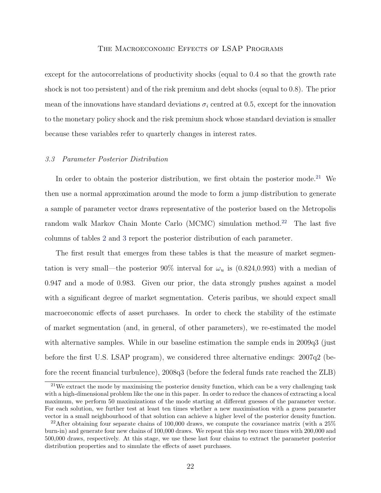except for the autocorrelations of productivity shocks (equal to 0.4 so that the growth rate shock is not too persistent) and of the risk premium and debt shocks (equal to 0.8). The prior mean of the innovations have standard deviations  $\sigma_i$  centred at 0.5, except for the innovation to the monetary policy shock and the risk premium shock whose standard deviation is smaller because these variables refer to quarterly changes in interest rates.

#### 3.3 Parameter Posterior Distribution

In order to obtain the posterior distribution, we first obtain the posterior mode.<sup>[21](#page-22-0)</sup> We then use a normal approximation around the mode to form a jump distribution to generate a sample of parameter vector draws representative of the posterior based on the Metropolis random walk Markov Chain Monte Carlo (MCMC) simulation method.<sup>[22](#page-22-1)</sup> The last five columns of tables [2](#page-39-0) and [3](#page-40-0) report the posterior distribution of each parameter.

The first result that emerges from these tables is that the measure of market segmentation is very small—the posterior 90% interval for  $\omega_u$  is (0.824,0.993) with a median of 0.947 and a mode of 0.983. Given our prior, the data strongly pushes against a model with a significant degree of market segmentation. Ceteris paribus, we should expect small macroeconomic effects of asset purchases. In order to check the stability of the estimate of market segmentation (and, in general, of other parameters), we re-estimated the model with alternative samples. While in our baseline estimation the sample ends in 2009q3 (just before the first U.S. LSAP program), we considered three alternative endings: 2007q2 (before the recent financial turbulence), 2008q3 (before the federal funds rate reached the ZLB)

<span id="page-22-0"></span><sup>21</sup>We extract the mode by maximising the posterior density function, which can be a very challenging task with a high-dimensional problem like the one in this paper. In order to reduce the chances of extracting a local maximum, we perform 50 maximizations of the mode starting at different guesses of the parameter vector. For each solution, we further test at least ten times whether a new maximisation with a guess parameter vector in a small neighbourhood of that solution can achieve a higher level of the posterior density function.

<span id="page-22-1"></span><sup>&</sup>lt;sup>22</sup>After obtaining four separate chains of 100,000 draws, we compute the covariance matrix (with a  $25\%$ burn-in) and generate four new chains of 100,000 draws. We repeat this step two more times with 200,000 and 500,000 draws, respectively. At this stage, we use these last four chains to extract the parameter posterior distribution properties and to simulate the effects of asset purchases.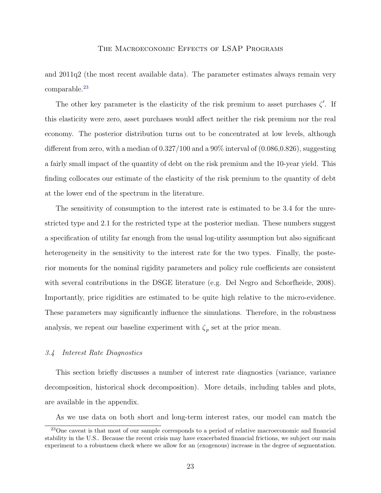and 2011q2 (the most recent available data). The parameter estimates always remain very comparable.<sup>[23](#page-23-0)</sup>

The other key parameter is the elasticity of the risk premium to asset purchases  $\zeta'$ . If this elasticity were zero, asset purchases would affect neither the risk premium nor the real economy. The posterior distribution turns out to be concentrated at low levels, although different from zero, with a median of  $0.327/100$  and a  $90\%$  interval of  $(0.086,0.826)$ , suggesting a fairly small impact of the quantity of debt on the risk premium and the 10-year yield. This finding collocates our estimate of the elasticity of the risk premium to the quantity of debt at the lower end of the spectrum in the literature.

The sensitivity of consumption to the interest rate is estimated to be 3.4 for the unrestricted type and 2.1 for the restricted type at the posterior median. These numbers suggest a specification of utility far enough from the usual log-utility assumption but also significant heterogeneity in the sensitivity to the interest rate for the two types. Finally, the posterior moments for the nominal rigidity parameters and policy rule coefficients are consistent with several contributions in the DSGE literature (e.g. Del Negro and Schorfheide, 2008). Importantly, price rigidities are estimated to be quite high relative to the micro-evidence. These parameters may significantly influence the simulations. Therefore, in the robustness analysis, we repeat our baseline experiment with  $\zeta_p$  set at the prior mean.

## 3.4 Interest Rate Diagnostics

This section briefly discusses a number of interest rate diagnostics (variance, variance decomposition, historical shock decomposition). More details, including tables and plots, are available in the appendix.

<span id="page-23-0"></span>As we use data on both short and long-term interest rates, our model can match the

<sup>23</sup>One caveat is that most of our sample corresponds to a period of relative macroeconomic and financial stability in the U.S.. Because the recent crisis may have exacerbated financial frictions, we subject our main experiment to a robustness check where we allow for an (exogenous) increase in the degree of segmentation.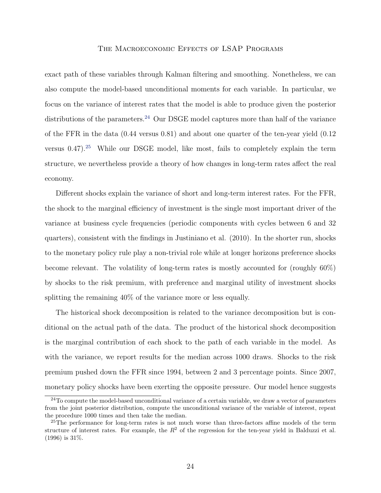exact path of these variables through Kalman filtering and smoothing. Nonetheless, we can also compute the model-based unconditional moments for each variable. In particular, we focus on the variance of interest rates that the model is able to produce given the posterior distributions of the parameters.<sup>[24](#page-24-0)</sup> Our DSGE model captures more than half of the variance of the FFR in the data (0.44 versus 0.81) and about one quarter of the ten-year yield (0.12 versus  $0.47$ ).<sup>[25](#page-24-1)</sup> While our DSGE model, like most, fails to completely explain the term structure, we nevertheless provide a theory of how changes in long-term rates affect the real economy.

Different shocks explain the variance of short and long-term interest rates. For the FFR, the shock to the marginal efficiency of investment is the single most important driver of the variance at business cycle frequencies (periodic components with cycles between 6 and 32 quarters), consistent with the findings in Justiniano et al. (2010). In the shorter run, shocks to the monetary policy rule play a non-trivial role while at longer horizons preference shocks become relevant. The volatility of long-term rates is mostly accounted for (roughly 60%) by shocks to the risk premium, with preference and marginal utility of investment shocks splitting the remaining 40% of the variance more or less equally.

The historical shock decomposition is related to the variance decomposition but is conditional on the actual path of the data. The product of the historical shock decomposition is the marginal contribution of each shock to the path of each variable in the model. As with the variance, we report results for the median across 1000 draws. Shocks to the risk premium pushed down the FFR since 1994, between 2 and 3 percentage points. Since 2007, monetary policy shocks have been exerting the opposite pressure. Our model hence suggests

<span id="page-24-0"></span><sup>&</sup>lt;sup>24</sup>To compute the model-based unconditional variance of a certain variable, we draw a vector of parameters from the joint posterior distribution, compute the unconditional variance of the variable of interest, repeat the procedure 1000 times and then take the median.

<span id="page-24-1"></span><sup>&</sup>lt;sup>25</sup>The performance for long-term rates is not much worse than three-factors affine models of the term structure of interest rates. For example, the  $R^2$  of the regression for the ten-year yield in Balduzzi et al. (1996) is 31%.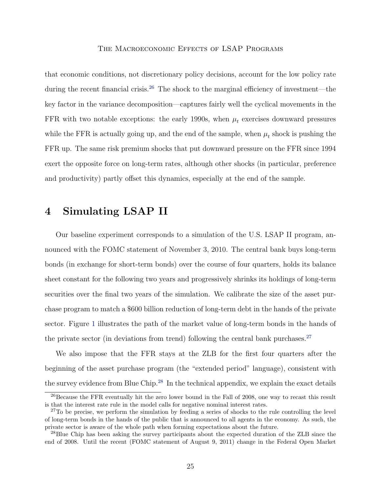that economic conditions, not discretionary policy decisions, account for the low policy rate during the recent financial crisis.<sup>[26](#page-25-1)</sup> The shock to the marginal efficiency of investment—the key factor in the variance decomposition—captures fairly well the cyclical movements in the FFR with two notable exceptions: the early 1990s, when  $\mu_t$  exercises downward pressures while the FFR is actually going up, and the end of the sample, when  $\mu_t$  shock is pushing the FFR up. The same risk premium shocks that put downward pressure on the FFR since 1994 exert the opposite force on long-term rates, although other shocks (in particular, preference and productivity) partly offset this dynamics, especially at the end of the sample.

# <span id="page-25-0"></span>4 Simulating LSAP II

Our baseline experiment corresponds to a simulation of the U.S. LSAP II program, announced with the FOMC statement of November 3, 2010. The central bank buys long-term bonds (in exchange for short-term bonds) over the course of four quarters, holds its balance sheet constant for the following two years and progressively shrinks its holdings of long-term securities over the final two years of the simulation. We calibrate the size of the asset purchase program to match a \$600 billion reduction of long-term debt in the hands of the private sector. Figure [1](#page-41-0) illustrates the path of the market value of long-term bonds in the hands of the private sector (in deviations from trend) following the central bank purchases.<sup>[27](#page-25-2)</sup>

We also impose that the FFR stays at the ZLB for the first four quarters after the beginning of the asset purchase program (the "extended period" language), consistent with the survey evidence from Blue Chip.<sup>[28](#page-25-3)</sup> In the technical appendix, we explain the exact details

<span id="page-25-1"></span><sup>&</sup>lt;sup>26</sup>Because the FFR eventually hit the zero lower bound in the Fall of 2008, one way to recast this result is that the interest rate rule in the model calls for negative nominal interest rates.

<span id="page-25-2"></span> $27T$ o be precise, we perform the simulation by feeding a series of shocks to the rule controlling the level of long-term bonds in the hands of the public that is announced to all agents in the economy. As such, the private sector is aware of the whole path when forming expectations about the future.

<span id="page-25-3"></span><sup>28</sup>Blue Chip has been asking the survey participants about the expected duration of the ZLB since the end of 2008. Until the recent (FOMC statement of August 9, 2011) change in the Federal Open Market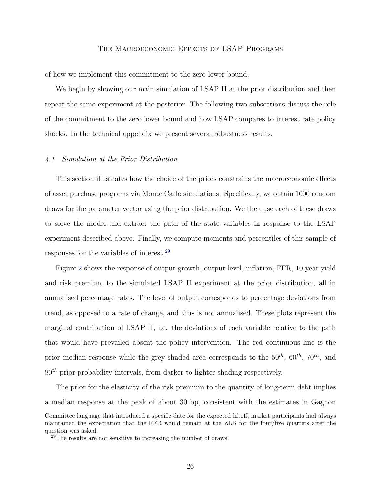of how we implement this commitment to the zero lower bound.

We begin by showing our main simulation of LSAP II at the prior distribution and then repeat the same experiment at the posterior. The following two subsections discuss the role of the commitment to the zero lower bound and how LSAP compares to interest rate policy shocks. In the technical appendix we present several robustness results.

#### 4.1 Simulation at the Prior Distribution

This section illustrates how the choice of the priors constrains the macroeconomic effects of asset purchase programs via Monte Carlo simulations. Specifically, we obtain 1000 random draws for the parameter vector using the prior distribution. We then use each of these draws to solve the model and extract the path of the state variables in response to the LSAP experiment described above. Finally, we compute moments and percentiles of this sample of responses for the variables of interest.[29](#page-26-0)

Figure [2](#page-42-0) shows the response of output growth, output level, inflation, FFR, 10-year yield and risk premium to the simulated LSAP II experiment at the prior distribution, all in annualised percentage rates. The level of output corresponds to percentage deviations from trend, as opposed to a rate of change, and thus is not annualised. These plots represent the marginal contribution of LSAP II, i.e. the deviations of each variable relative to the path that would have prevailed absent the policy intervention. The red continuous line is the prior median response while the grey shaded area corresponds to the  $50^{th}$ ,  $60^{th}$ ,  $70^{th}$ , and  $80<sup>th</sup>$  prior probability intervals, from darker to lighter shading respectively.

The prior for the elasticity of the risk premium to the quantity of long-term debt implies a median response at the peak of about 30 bp, consistent with the estimates in Gagnon

Committee language that introduced a specific date for the expected liftoff, market participants had always maintained the expectation that the FFR would remain at the ZLB for the four/five quarters after the question was asked.

<span id="page-26-0"></span> $29$ The results are not sensitive to increasing the number of draws.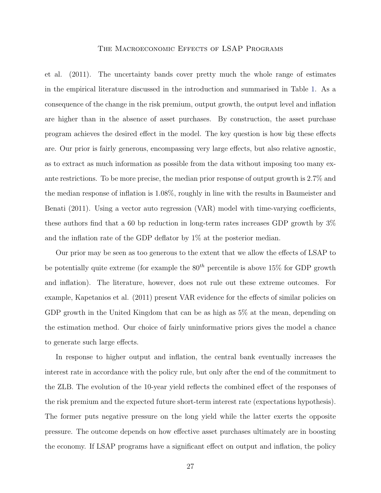et al. (2011). The uncertainty bands cover pretty much the whole range of estimates in the empirical literature discussed in the introduction and summarised in Table [1.](#page-38-0) As a consequence of the change in the risk premium, output growth, the output level and inflation are higher than in the absence of asset purchases. By construction, the asset purchase program achieves the desired effect in the model. The key question is how big these effects are. Our prior is fairly generous, encompassing very large effects, but also relative agnostic, as to extract as much information as possible from the data without imposing too many exante restrictions. To be more precise, the median prior response of output growth is 2.7% and the median response of inflation is 1.08%, roughly in line with the results in Baumeister and Benati (2011). Using a vector auto regression (VAR) model with time-varying coefficients, these authors find that a 60 bp reduction in long-term rates increases GDP growth by 3% and the inflation rate of the GDP deflator by 1% at the posterior median.

Our prior may be seen as too generous to the extent that we allow the effects of LSAP to be potentially quite extreme (for example the  $80^{th}$  percentile is above 15% for GDP growth and inflation). The literature, however, does not rule out these extreme outcomes. For example, Kapetanios et al. (2011) present VAR evidence for the effects of similar policies on GDP growth in the United Kingdom that can be as high as 5% at the mean, depending on the estimation method. Our choice of fairly uninformative priors gives the model a chance to generate such large effects.

In response to higher output and inflation, the central bank eventually increases the interest rate in accordance with the policy rule, but only after the end of the commitment to the ZLB. The evolution of the 10-year yield reflects the combined effect of the responses of the risk premium and the expected future short-term interest rate (expectations hypothesis). The former puts negative pressure on the long yield while the latter exerts the opposite pressure. The outcome depends on how effective asset purchases ultimately are in boosting the economy. If LSAP programs have a significant effect on output and inflation, the policy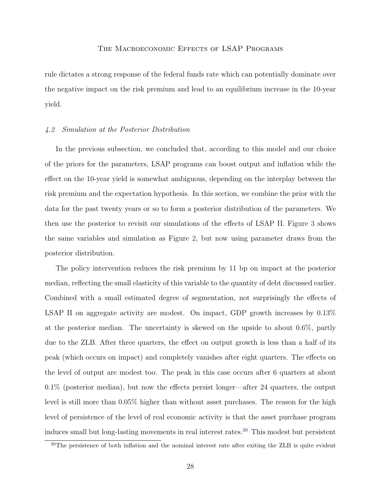rule dictates a strong response of the federal funds rate which can potentially dominate over the negative impact on the risk premium and lead to an equilibrium increase in the 10-year yield.

#### 4.2 Simulation at the Posterior Distribution

In the previous subsection, we concluded that, according to this model and our choice of the priors for the parameters, LSAP programs can boost output and inflation while the effect on the 10-year yield is somewhat ambiguous, depending on the interplay between the risk premium and the expectation hypothesis. In this section, we combine the prior with the data for the past twenty years or so to form a posterior distribution of the parameters. We then use the posterior to revisit our simulations of the effects of LSAP II. Figure [3](#page-43-0) shows the same variables and simulation as Figure [2,](#page-42-0) but now using parameter draws from the posterior distribution.

The policy intervention reduces the risk premium by 11 bp on impact at the posterior median, reflecting the small elasticity of this variable to the quantity of debt discussed earlier. Combined with a small estimated degree of segmentation, not surprisingly the effects of LSAP II on aggregate activity are modest. On impact, GDP growth increases by  $0.13\%$ at the posterior median. The uncertainty is skewed on the upside to about 0.6%, partly due to the ZLB. After three quarters, the effect on output growth is less than a half of its peak (which occurs on impact) and completely vanishes after eight quarters. The effects on the level of output are modest too. The peak in this case occurs after 6 quarters at about 0.1% (posterior median), but now the effects persist longer—after 24 quarters, the output level is still more than 0.05% higher than without asset purchases. The reason for the high level of persistence of the level of real economic activity is that the asset purchase program induces small but long-lasting movements in real interest rates.<sup>[30](#page-28-0)</sup> This modest but persistent

<span id="page-28-0"></span><sup>30</sup>The persistence of both inflation and the nominal interest rate after exiting the ZLB is quite evident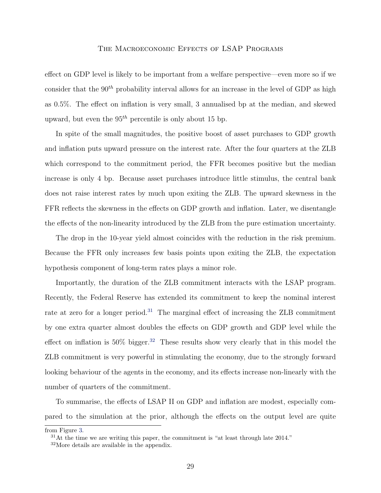effect on GDP level is likely to be important from a welfare perspective—even more so if we consider that the  $90<sup>th</sup>$  probability interval allows for an increase in the level of GDP as high as 0.5%. The effect on inflation is very small, 3 annualised bp at the median, and skewed upward, but even the  $95<sup>th</sup>$  percentile is only about 15 bp.

In spite of the small magnitudes, the positive boost of asset purchases to GDP growth and inflation puts upward pressure on the interest rate. After the four quarters at the ZLB which correspond to the commitment period, the FFR becomes positive but the median increase is only 4 bp. Because asset purchases introduce little stimulus, the central bank does not raise interest rates by much upon exiting the ZLB. The upward skewness in the FFR reflects the skewness in the effects on GDP growth and inflation. Later, we disentangle the effects of the non-linearity introduced by the ZLB from the pure estimation uncertainty.

The drop in the 10-year yield almost coincides with the reduction in the risk premium. Because the FFR only increases few basis points upon exiting the ZLB, the expectation hypothesis component of long-term rates plays a minor role.

Importantly, the duration of the ZLB commitment interacts with the LSAP program. Recently, the Federal Reserve has extended its commitment to keep the nominal interest rate at zero for a longer period.<sup>[31](#page-29-0)</sup> The marginal effect of increasing the ZLB commitment by one extra quarter almost doubles the effects on GDP growth and GDP level while the effect on inflation is  $50\%$  bigger.<sup>[32](#page-29-1)</sup> These results show very clearly that in this model the ZLB commitment is very powerful in stimulating the economy, due to the strongly forward looking behaviour of the agents in the economy, and its effects increase non-linearly with the number of quarters of the commitment.

To summarise, the effects of LSAP II on GDP and inflation are modest, especially compared to the simulation at the prior, although the effects on the output level are quite

from Figure [3.](#page-43-0)

<span id="page-29-0"></span> $31$ At the time we are writing this paper, the commitment is "at least through late  $2014$ ."

<span id="page-29-1"></span><sup>32</sup>More details are available in the appendix.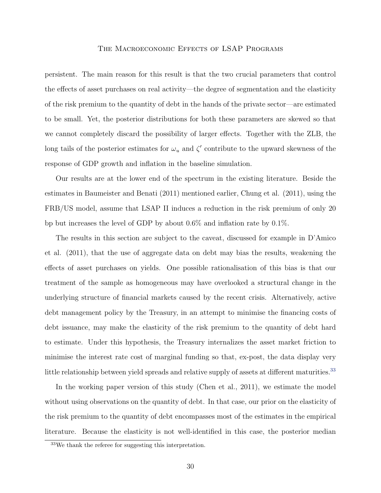persistent. The main reason for this result is that the two crucial parameters that control the effects of asset purchases on real activity—the degree of segmentation and the elasticity of the risk premium to the quantity of debt in the hands of the private sector—are estimated to be small. Yet, the posterior distributions for both these parameters are skewed so that we cannot completely discard the possibility of larger effects. Together with the ZLB, the long tails of the posterior estimates for  $\omega_u$  and  $\zeta'$  contribute to the upward skewness of the response of GDP growth and inflation in the baseline simulation.

Our results are at the lower end of the spectrum in the existing literature. Beside the estimates in Baumeister and Benati (2011) mentioned earlier, Chung et al. (2011), using the FRB/US model, assume that LSAP II induces a reduction in the risk premium of only 20 bp but increases the level of GDP by about 0.6% and inflation rate by 0.1%.

The results in this section are subject to the caveat, discussed for example in D'Amico et al. (2011), that the use of aggregate data on debt may bias the results, weakening the effects of asset purchases on yields. One possible rationalisation of this bias is that our treatment of the sample as homogeneous may have overlooked a structural change in the underlying structure of financial markets caused by the recent crisis. Alternatively, active debt management policy by the Treasury, in an attempt to minimise the financing costs of debt issuance, may make the elasticity of the risk premium to the quantity of debt hard to estimate. Under this hypothesis, the Treasury internalizes the asset market friction to minimise the interest rate cost of marginal funding so that, ex-post, the data display very little relationship between yield spreads and relative supply of assets at different maturities.<sup>[33](#page-30-0)</sup>

In the working paper version of this study (Chen et al., 2011), we estimate the model without using observations on the quantity of debt. In that case, our prior on the elasticity of the risk premium to the quantity of debt encompasses most of the estimates in the empirical literature. Because the elasticity is not well-identified in this case, the posterior median

<span id="page-30-0"></span><sup>33</sup>We thank the referee for suggesting this interpretation.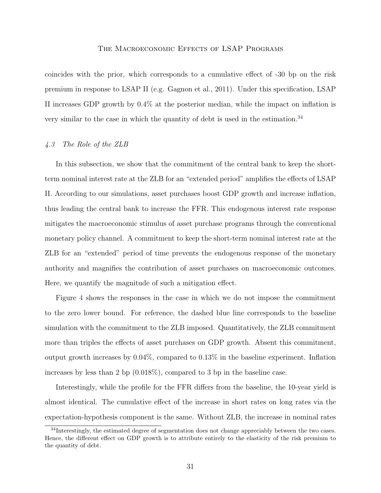coincides with the prior, which corresponds to a cumulative effect of -30 bp on the risk premium in response to LSAP II (e.g. Gagnon et al., 2011). Under this specification, LSAP II increases GDP growth by 0.4% at the posterior median, while the impact on inflation is very similar to the case in which the quantity of debt is used in the estimation.[34](#page-31-0)

#### 4.3 The Role of the ZLB

In this subsection, we show that the commitment of the central bank to keep the shortterm nominal interest rate at the ZLB for an "extended period" amplifies the effects of LSAP II. According to our simulations, asset purchases boost GDP growth and increase inflation, thus leading the central bank to increase the FFR. This endogenous interest rate response mitigates the macroeconomic stimulus of asset purchase programs through the conventional monetary policy channel. A commitment to keep the short-term nominal interest rate at the ZLB for an "extended" period of time prevents the endogenous response of the monetary authority and magnifies the contribution of asset purchases on macroeconomic outcomes. Here, we quantify the magnitude of such a mitigation effect.

Figure [4](#page-44-0) shows the responses in the case in which we do not impose the commitment to the zero lower bound. For reference, the dashed blue line corresponds to the baseline simulation with the commitment to the ZLB imposed. Quantitatively, the ZLB commitment more than triples the effects of asset purchases on GDP growth. Absent this commitment, output growth increases by 0.04%, compared to 0.13% in the baseline experiment. Inflation increases by less than 2 bp (0.018%), compared to 3 bp in the baseline case.

Interestingly, while the profile for the FFR differs from the baseline, the 10-year yield is almost identical. The cumulative effect of the increase in short rates on long rates via the expectation-hypothesis component is the same. Without ZLB, the increase in nominal rates

<span id="page-31-0"></span><sup>&</sup>lt;sup>34</sup>Interestingly, the estimated degree of segmentation does not change appreciably between the two cases. Hence, the different effect on GDP growth is to attribute entirely to the elasticity of the risk premium to the quantity of debt.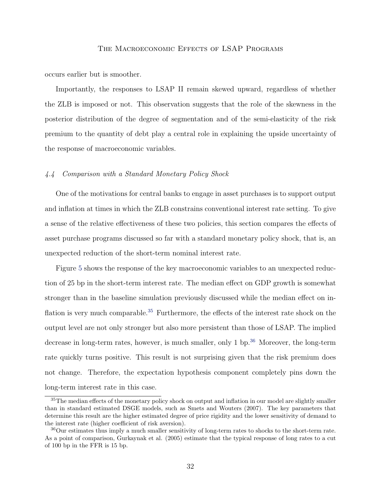occurs earlier but is smoother.

Importantly, the responses to LSAP II remain skewed upward, regardless of whether the ZLB is imposed or not. This observation suggests that the role of the skewness in the posterior distribution of the degree of segmentation and of the semi-elasticity of the risk premium to the quantity of debt play a central role in explaining the upside uncertainty of the response of macroeconomic variables.

## 4.4 Comparison with a Standard Monetary Policy Shock

One of the motivations for central banks to engage in asset purchases is to support output and inflation at times in which the ZLB constrains conventional interest rate setting. To give a sense of the relative effectiveness of these two policies, this section compares the effects of asset purchase programs discussed so far with a standard monetary policy shock, that is, an unexpected reduction of the short-term nominal interest rate.

Figure [5](#page-45-0) shows the response of the key macroeconomic variables to an unexpected reduction of 25 bp in the short-term interest rate. The median effect on GDP growth is somewhat stronger than in the baseline simulation previously discussed while the median effect on in-flation is very much comparable.<sup>[35](#page-32-0)</sup> Furthermore, the effects of the interest rate shock on the output level are not only stronger but also more persistent than those of LSAP. The implied decrease in long-term rates, however, is much smaller, only  $1 \text{ bp.}^{36}$  $1 \text{ bp.}^{36}$  $1 \text{ bp.}^{36}$  Moreover, the long-term rate quickly turns positive. This result is not surprising given that the risk premium does not change. Therefore, the expectation hypothesis component completely pins down the long-term interest rate in this case.

<span id="page-32-0"></span><sup>&</sup>lt;sup>35</sup>The median effects of the monetary policy shock on output and inflation in our model are slightly smaller than in standard estimated DSGE models, such as Smets and Wouters (2007). The key parameters that determine this result are the higher estimated degree of price rigidity and the lower sensitivity of demand to the interest rate (higher coefficient of risk aversion).

<span id="page-32-1"></span> $36$ Our estimates thus imply a much smaller sensitivity of long-term rates to shocks to the short-term rate. As a point of comparison, Gurkaynak et al. (2005) estimate that the typical response of long rates to a cut of 100 bp in the FFR is 15 bp.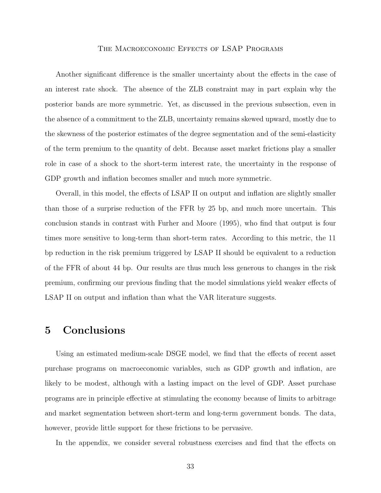Another significant difference is the smaller uncertainty about the effects in the case of an interest rate shock. The absence of the ZLB constraint may in part explain why the posterior bands are more symmetric. Yet, as discussed in the previous subsection, even in the absence of a commitment to the ZLB, uncertainty remains skewed upward, mostly due to the skewness of the posterior estimates of the degree segmentation and of the semi-elasticity of the term premium to the quantity of debt. Because asset market frictions play a smaller role in case of a shock to the short-term interest rate, the uncertainty in the response of GDP growth and inflation becomes smaller and much more symmetric.

Overall, in this model, the effects of LSAP II on output and inflation are slightly smaller than those of a surprise reduction of the FFR by 25 bp, and much more uncertain. This conclusion stands in contrast with Furher and Moore (1995), who find that output is four times more sensitive to long-term than short-term rates. According to this metric, the 11 bp reduction in the risk premium triggered by LSAP II should be equivalent to a reduction of the FFR of about 44 bp. Our results are thus much less generous to changes in the risk premium, confirming our previous finding that the model simulations yield weaker effects of LSAP II on output and inflation than what the VAR literature suggests.

# <span id="page-33-0"></span>5 Conclusions

Using an estimated medium-scale DSGE model, we find that the effects of recent asset purchase programs on macroeconomic variables, such as GDP growth and inflation, are likely to be modest, although with a lasting impact on the level of GDP. Asset purchase programs are in principle effective at stimulating the economy because of limits to arbitrage and market segmentation between short-term and long-term government bonds. The data, however, provide little support for these frictions to be pervasive.

In the appendix, we consider several robustness exercises and find that the effects on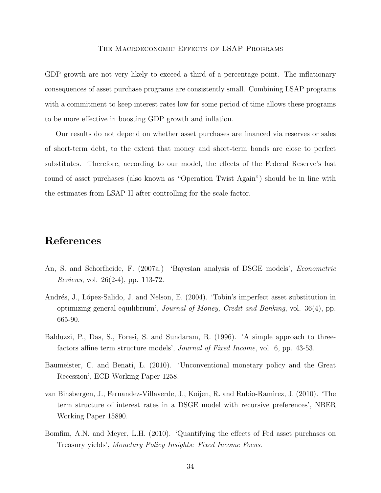GDP growth are not very likely to exceed a third of a percentage point. The inflationary consequences of asset purchase programs are consistently small. Combining LSAP programs with a commitment to keep interest rates low for some period of time allows these programs to be more effective in boosting GDP growth and inflation.

Our results do not depend on whether asset purchases are financed via reserves or sales of short-term debt, to the extent that money and short-term bonds are close to perfect substitutes. Therefore, according to our model, the effects of the Federal Reserve's last round of asset purchases (also known as "Operation Twist Again") should be in line with the estimates from LSAP II after controlling for the scale factor.

# References

- An, S. and Schorfheide, F. (2007a.) 'Bayesian analysis of DSGE models', *Econometric* Reviews, vol. 26(2-4), pp. 113-72.
- Andrés, J., López-Salido, J. and Nelson, E. (2004). 'Tobin's imperfect asset substitution in optimizing general equilibrium', Journal of Money, Credit and Banking, vol. 36(4), pp. 665-90.
- Balduzzi, P., Das, S., Foresi, S. and Sundaram, R. (1996). 'A simple approach to threefactors affine term structure models', Journal of Fixed Income, vol. 6, pp. 43-53.
- Baumeister, C. and Benati, L. (2010). 'Unconventional monetary policy and the Great Recession', ECB Working Paper 1258.
- van Binsbergen, J., Fernandez-Villaverde, J., Koijen, R. and Rubio-Ramirez, J. (2010). 'The term structure of interest rates in a DSGE model with recursive preferences', NBER Working Paper 15890.
- Bomfim, A.N. and Meyer, L.H. (2010). 'Quantifying the effects of Fed asset purchases on Treasury yields', Monetary Policy Insights: Fixed Income Focus.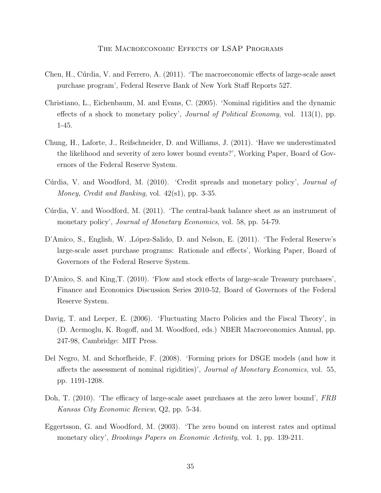- Chen, H., Cúrdia, V. and Ferrero, A. (2011). 'The macroeconomic effects of large-scale asset purchase program', Federal Reserve Bank of New York Staff Reports 527.
- Christiano, L., Eichenbaum, M. and Evans, C. (2005). 'Nominal rigidities and the dynamic effects of a shock to monetary policy', Journal of Political Economy, vol. 113(1), pp. 1-45.
- Chung, H., Laforte, J., Reifschneider, D. and Williams, J. (2011). 'Have we underestimated the likelihood and severity of zero lower bound events?', Working Paper, Board of Governors of the Federal Reserve System.
- Cúrdia, V. and Woodford, M. (2010). 'Credit spreads and monetary policy', *Journal of* Money, Credit and Banking, vol. 42(s1), pp. 3-35.
- Cúrdia, V. and Woodford, M. (2011). 'The central-bank balance sheet as an instrument of monetary policy', *Journal of Monetary Economics*, vol. 58, pp. 54-79.
- D'Amico, S., English, W. ,López-Salido, D. and Nelson, E. (2011). 'The Federal Reserve's large-scale asset purchase programs: Rationale and effects', Working Paper, Board of Governors of the Federal Reserve System.
- D'Amico, S. and King, T. (2010). 'Flow and stock effects of large-scale Treasury purchases', Finance and Economics Discussion Series 2010-52, Board of Governors of the Federal Reserve System.
- Davig, T. and Leeper, E. (2006). 'Fluctuating Macro Policies and the Fiscal Theory', in (D. Acemoglu, K. Rogoff, and M. Woodford, eds.) NBER Macroeconomics Annual, pp. 247-98, Cambridge: MIT Press.
- Del Negro, M. and Schorfheide, F. (2008). 'Forming priors for DSGE models (and how it affects the assessment of nominal rigidities)', Journal of Monetary Economics, vol. 55, pp. 1191-1208.
- Doh, T. (2010). 'The efficacy of large-scale asset purchases at the zero lower bound', FRB Kansas City Economic Review, Q2, pp. 5-34.
- Eggertsson, G. and Woodford, M. (2003). 'The zero bound on interest rates and optimal monetary olicy', *Brookings Papers on Economic Activity*, vol. 1, pp. 139-211.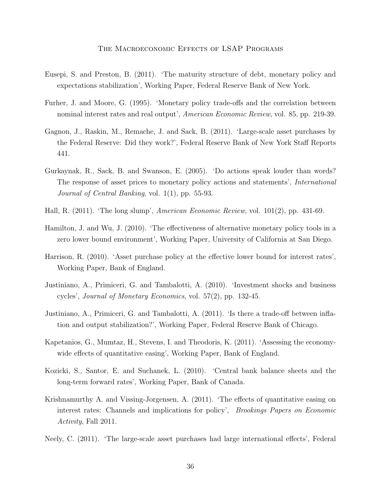- Eusepi, S. and Preston, B. (2011). 'The maturity structure of debt, monetary policy and expectations stabilization', Working Paper, Federal Reserve Bank of New York.
- Furher, J. and Moore, G. (1995). 'Monetary policy trade-offs and the correlation between nominal interest rates and real output', *American Economic Review*, vol. 85, pp. 219-39.
- Gagnon, J., Raskin, M., Remache, J. and Sack, B. (2011). 'Large-scale asset purchases by the Federal Reserve: Did they work?', Federal Reserve Bank of New York Staff Reports 441.
- Gurkaynak, R., Sack, B. and Swanson, E. (2005). 'Do actions speak louder than words? The response of asset prices to monetary policy actions and statements', International Journal of Central Banking, vol. 1(1), pp. 55-93.
- Hall, R. (2011). 'The long slump', American Economic Review, vol. 101(2), pp. 431-69.
- Hamilton, J. and Wu, J. (2010). 'The effectiveness of alternative monetary policy tools in a zero lower bound environment', Working Paper, University of California at San Diego.
- Harrison, R. (2010). 'Asset purchase policy at the effective lower bound for interest rates', Working Paper, Bank of England.
- Justiniano, A., Primiceri, G. and Tambalotti, A. (2010). 'Investment shocks and business cycles', Journal of Monetary Economics, vol. 57(2), pp. 132-45.
- Justiniano, A., Primiceri, G. and Tambalotti, A. (2011). 'Is there a trade-off between inflation and output stabilization?', Working Paper, Federal Reserve Bank of Chicago.
- Kapetanios, G., Mumtaz, H., Stevens, I. and Theodoris, K. (2011). 'Assessing the economywide effects of quantitative easing', Working Paper, Bank of England.
- Kozicki, S., Santor, E. and Suchanek, L. (2010). 'Central bank balance sheets and the long-term forward rates', Working Paper, Bank of Canada.
- Krishnamurthy A. and Vissing-Jorgensen, A. (2011). 'The effects of quantitative easing on interest rates: Channels and implications for policy', Brookings Papers on Economic Activity, Fall 2011.
- Neely, C. (2011). 'The large-scale asset purchases had large international effects', Federal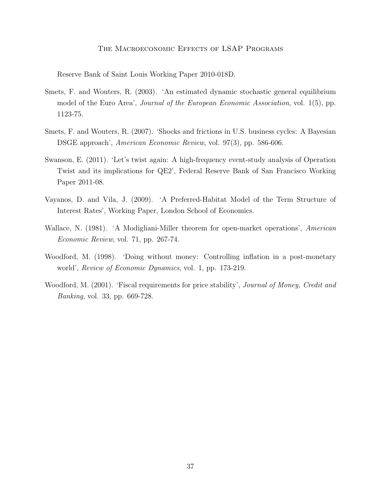Reserve Bank of Saint Louis Working Paper 2010-018D.

- Smets, F. and Wouters, R. (2003). 'An estimated dynamic stochastic general equilibrium model of the Euro Area', Journal of the European Economic Association, vol. 1(5), pp. 1123-75.
- Smets, F. and Wouters, R. (2007). 'Shocks and frictions in U.S. business cycles: A Bayesian DSGE approach', American Economic Review, vol. 97(3), pp. 586-606.
- Swanson, E. (2011). 'Let's twist again: A high-frequency event-study analysis of Operation Twist and its implications for QE2', Federal Reserve Bank of San Francisco Working Paper 2011-08.
- Vayanos, D. and Vila, J. (2009). 'A Preferred-Habitat Model of the Term Structure of Interest Rates', Working Paper, London School of Economics.
- Wallace, N. (1981). 'A Modigliani-Miller theorem for open-market operations', American Economic Review, vol. 71, pp. 267-74.
- Woodford, M. (1998). 'Doing without money: Controlling inflation in a post-monetary world', Review of Economic Dynamics, vol. 1, pp. 173-219.
- Woodford, M. (2001). 'Fiscal requirements for price stability', Journal of Money, Credit and Banking, vol. 33, pp. 669-728.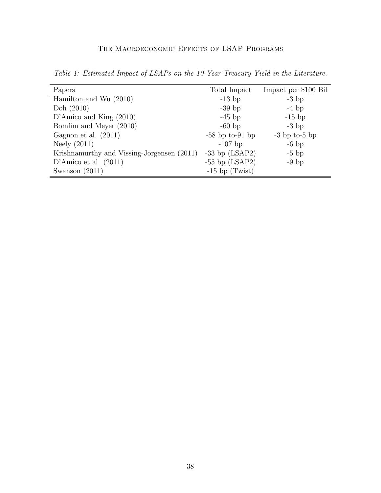| Papers                                     | Total Impact         | Impact per \$100 Bil |
|--------------------------------------------|----------------------|----------------------|
| Hamilton and Wu $(2010)$                   | $-13$ bp             | $-3$ bp              |
| Doh $(2010)$                               | $-39$ bp             | $-4$ bp              |
| D'Amico and King $(2010)$                  | $-45$ bp             | $-15$ bp             |
| Bomfim and Meyer (2010)                    | $-60$ bp             | $-3$ bp              |
| Gagnon et al. $(2011)$                     | $-58$ bp to $-91$ bp | $-3$ bp to-5 bp      |
| Neely $(2011)$                             | $-107$ bp            | $-6$ bp              |
| Krishnamurthy and Vissing-Jorgensen (2011) | $-33$ bp $(LSAP2)$   | $-5$ bp              |
| D'Amico et al. $(2011)$                    | $-55$ bp $(LSAP2)$   | $-9$ bp              |
| Swanson $(2011)$                           | $-15$ bp (Twist)     |                      |

<span id="page-38-0"></span>Table 1: Estimated Impact of LSAPs on the 10-Year Treasury Yield in the Literature.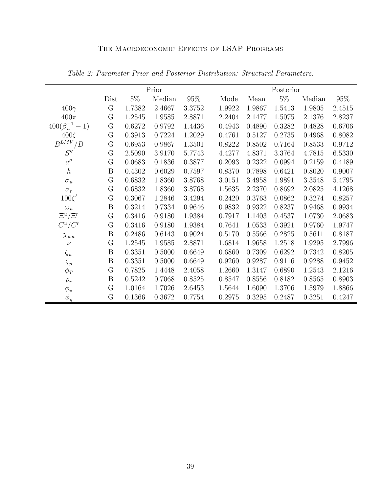<span id="page-39-0"></span>

|                         | Prior            |        |        |        | Posterior |        |        |        |            |
|-------------------------|------------------|--------|--------|--------|-----------|--------|--------|--------|------------|
|                         | Dist             | $5\%$  | Median | 95%    | Mode      | Mean   | $5\%$  | Median | 95\%       |
| $400\gamma$             | G                | 1.7382 | 2.4667 | 3.3752 | 1.9922    | 1.9867 | 1.5413 | 1.9805 | 2.4515     |
| $400\pi$                | $\rm G$          | 1.2545 | 1.9585 | 2.8871 | 2.2404    | 2.1477 | 1.5075 | 2.1376 | 2.8237     |
| $400(\beta_u^{-1} - 1)$ | G                | 0.6272 | 0.9792 | 1.4436 | 0.4943    | 0.4890 | 0.3282 | 0.4828 | 0.6706     |
| $400\zeta$              | G                | 0.3913 | 0.7224 | 1.2029 | 0.4761    | 0.5127 | 0.2735 | 0.4968 | 0.8082     |
| $B^{LMV}$ / $B$         | ${\bf G}$        | 0.6953 | 0.9867 | 1.3501 | 0.8222    | 0.8502 | 0.7164 | 0.8533 | $0.9712\,$ |
| S''                     | G                | 2.5090 | 3.9170 | 5.7743 | 4.4277    | 4.8371 | 3.3764 | 4.7815 | 6.5330     |
| $a^{\prime\prime}$      | G                | 0.0683 | 0.1836 | 0.3877 | 0.2093    | 0.2322 | 0.0994 | 0.2159 | 0.4189     |
| $\hbar$                 | B                | 0.4302 | 0.6029 | 0.7597 | 0.8370    | 0.7898 | 0.6421 | 0.8020 | 0.9007     |
| $\sigma_u$              | $\rm G$          | 0.6832 | 1.8360 | 3.8768 | 3.0151    | 3.4958 | 1.9891 | 3.3548 | 5.4795     |
| $\sigma_r$              | $\mathcal G$     | 0.6832 | 1.8360 | 3.8768 | 1.5635    | 2.2370 | 0.8692 | 2.0825 | 4.1268     |
| $100\zeta'$             | $\mathcal G$     | 0.3067 | 1.2846 | 3.4294 | 0.2420    | 0.3763 | 0.0862 | 0.3274 | 0.8257     |
| $\omega_u$              | B                | 0.3214 | 0.7334 | 0.9646 | 0.9832    | 0.9322 | 0.8237 | 0.9468 | 0.9934     |
| $\Xi^u/\Xi^r$           | $\rm G$          | 0.3416 | 0.9180 | 1.9384 | 0.7917    | 1.1403 | 0.4537 | 1.0730 | 2.0683     |
| $C^u/C^r$               | $\mathcal G$     | 0.3416 | 0.9180 | 1.9384 | 0.7641    | 1.0533 | 0.3921 | 0.9760 | 1.9747     |
| $\chi_{wu}$             | B                | 0.2486 | 0.6143 | 0.9024 | 0.5170    | 0.5566 | 0.2825 | 0.5611 | 0.8187     |
| $\nu$                   | $\mathcal G$     | 1.2545 | 1.9585 | 2.8871 | 1.6814    | 1.9658 | 1.2518 | 1.9295 | 2.7996     |
| $\zeta_w$               | B                | 0.3351 | 0.5000 | 0.6649 | 0.6860    | 0.7309 | 0.6292 | 0.7342 | 0.8205     |
| $\zeta_p$               | $\boldsymbol{B}$ | 0.3351 | 0.5000 | 0.6649 | 0.9260    | 0.9287 | 0.9116 | 0.9288 | 0.9452     |
| $\phi_T$                | $\mathcal G$     | 0.7825 | 1.4448 | 2.4058 | 1.2660    | 1.3147 | 0.6890 | 1.2543 | 2.1216     |
| $\rho_r$                | B                | 0.5242 | 0.7068 | 0.8525 | 0.8547    | 0.8556 | 0.8182 | 0.8565 | 0.8903     |
| $\phi_{\pi}$            | $\mathcal G$     | 1.0164 | 1.7026 | 2.6453 | 1.5644    | 1.6090 | 1.3706 | 1.5979 | 1.8866     |
| $\phi_y$                | $\rm G$          | 0.1366 | 0.3672 | 0.7754 | 0.2975    | 0.3295 | 0.2487 | 0.3251 | 0.4247     |

Table 2: Parameter Prior and Posterior Distribution: Structural Parameters.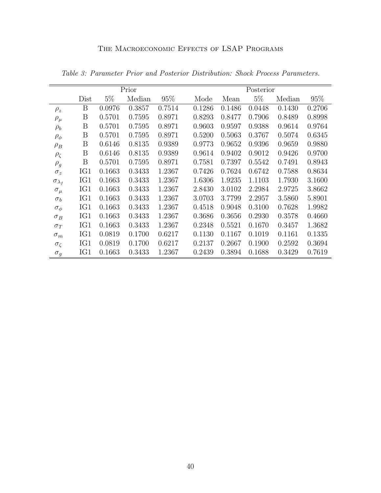|                      | Prior |        |        |        |        | Posterior |        |        |        |  |  |
|----------------------|-------|--------|--------|--------|--------|-----------|--------|--------|--------|--|--|
|                      | Dist  | $5\%$  | Median | 95%    | Mode   | Mean      | $5\%$  | Median | 95%    |  |  |
| $\rho_z$             | B     | 0.0976 | 0.3857 | 0.7514 | 0.1286 | 0.1486    | 0.0448 | 0.1430 | 0.2706 |  |  |
| $\rho_\mu$           | Β     | 0.5701 | 0.7595 | 0.8971 | 0.8293 | 0.8477    | 0.7906 | 0.8489 | 0.8998 |  |  |
| $\rho_b$             | Β     | 0.5701 | 0.7595 | 0.8971 | 0.9603 | 0.9597    | 0.9388 | 0.9614 | 0.9764 |  |  |
| $\rho_{\phi}$        | Β     | 0.5701 | 0.7595 | 0.8971 | 0.5200 | 0.5063    | 0.3767 | 0.5074 | 0.6345 |  |  |
| $\rho_B$             | B     | 0.6146 | 0.8135 | 0.9389 | 0.9773 | 0.9652    | 0.9396 | 0.9659 | 0.9880 |  |  |
| $\rho_{\zeta}$       | B     | 0.6146 | 0.8135 | 0.9389 | 0.9614 | 0.9402    | 0.9012 | 0.9426 | 0.9700 |  |  |
| $\rho_g$             | B     | 0.5701 | 0.7595 | 0.8971 | 0.7581 | 0.7397    | 0.5542 | 0.7491 | 0.8943 |  |  |
| $\sigma_z$           | IG1   | 0.1663 | 0.3433 | 1.2367 | 0.7426 | 0.7624    | 0.6742 | 0.7588 | 0.8634 |  |  |
| $\sigma_{\lambda_f}$ | IG1   | 0.1663 | 0.3433 | 1.2367 | 1.6306 | 1.9235    | 1.1103 | 1.7930 | 3.1600 |  |  |
| $\sigma_{\mu}$       | IG1   | 0.1663 | 0.3433 | 1.2367 | 2.8430 | 3.0102    | 2.2984 | 2.9725 | 3.8662 |  |  |
| $\sigma_b$           | IG1   | 0.1663 | 0.3433 | 1.2367 | 3.0703 | 3.7799    | 2.2957 | 3.5860 | 5.8901 |  |  |
| $\sigma_{\phi}$      | IG1   | 0.1663 | 0.3433 | 1.2367 | 0.4518 | 0.9048    | 0.3100 | 0.7628 | 1.9982 |  |  |
| $\sigma_B$           | IG1   | 0.1663 | 0.3433 | 1.2367 | 0.3686 | 0.3656    | 0.2930 | 0.3578 | 0.4660 |  |  |
| $\sigma_T$           | IG1   | 0.1663 | 0.3433 | 1.2367 | 0.2348 | 0.5521    | 0.1670 | 0.3457 | 1.3682 |  |  |
| $\sigma_m$           | IG1   | 0.0819 | 0.1700 | 0.6217 | 0.1130 | 0.1167    | 0.1019 | 0.1161 | 0.1335 |  |  |
| $\sigma_{\zeta}$     | IG1   | 0.0819 | 0.1700 | 0.6217 | 0.2137 | 0.2667    | 0.1900 | 0.2592 | 0.3694 |  |  |
| $\sigma_g$           | IG1   | 0.1663 | 0.3433 | 1.2367 | 0.2439 | 0.3894    | 0.1688 | 0.3429 | 0.7619 |  |  |

<span id="page-40-0"></span>Table 3: Parameter Prior and Posterior Distribution: Shock Process Parameters.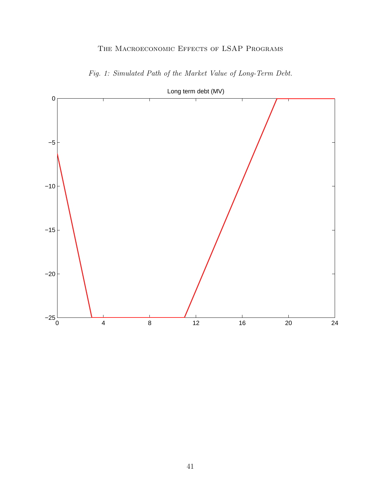<span id="page-41-0"></span>

Fig. 1: Simulated Path of the Market Value of Long-Term Debt.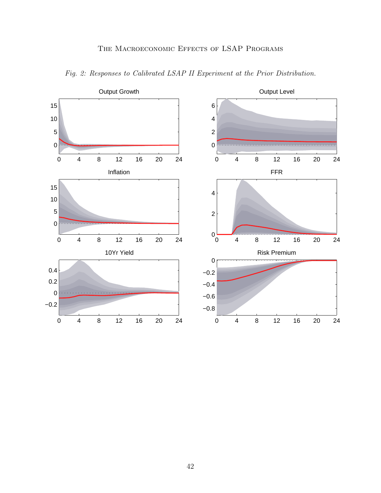<span id="page-42-0"></span>

Fig. 2: Responses to Calibrated LSAP II Experiment at the Prior Distribution.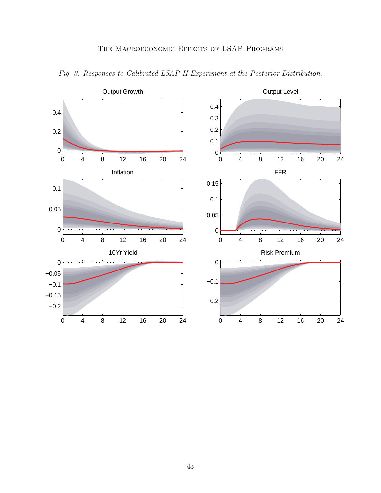

<span id="page-43-0"></span>Fig. 3: Responses to Calibrated LSAP II Experiment at the Posterior Distribution.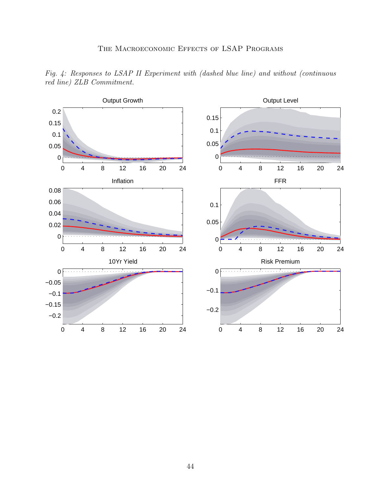

<span id="page-44-0"></span>Fig. 4: Responses to LSAP II Experiment with (dashed blue line) and without (continuous red line) ZLB Commitment.